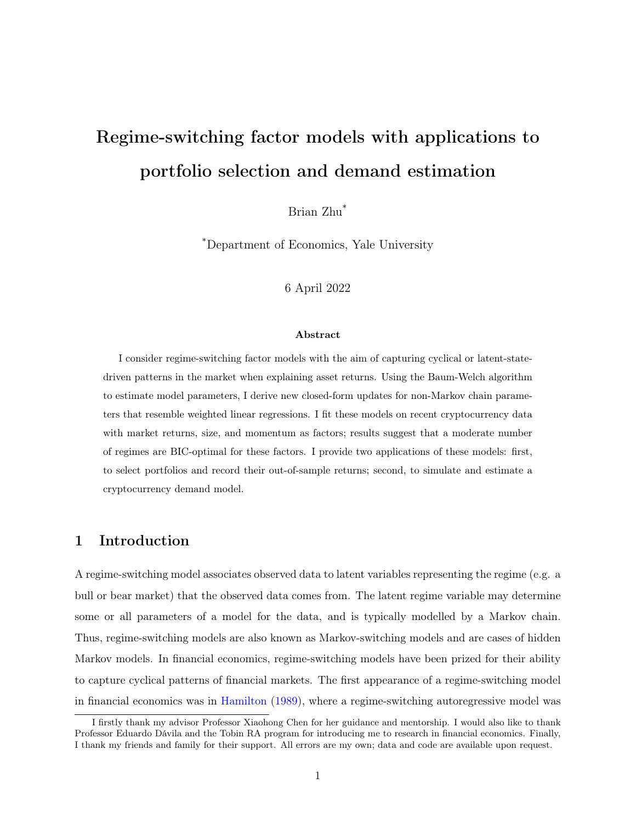# Regime-switching factor models with applications to portfolio selection and demand estimation

Brian Zhu\*

\*Department of Economics, Yale University

6 April 2022

#### Abstract

I consider regime-switching factor models with the aim of capturing cyclical or latent-statedriven patterns in the market when explaining asset returns. Using the Baum-Welch algorithm to estimate model parameters, I derive new closed-form updates for non-Markov chain parameters that resemble weighted linear regressions. I fit these models on recent cryptocurrency data with market returns, size, and momentum as factors; results suggest that a moderate number of regimes are BIC-optimal for these factors. I provide two applications of these models: first, to select portfolios and record their out-of-sample returns; second, to simulate and estimate a cryptocurrency demand model.

## 1 Introduction

A regime-switching model associates observed data to latent variables representing the regime (e.g. a bull or bear market) that the observed data comes from. The latent regime variable may determine some or all parameters of a model for the data, and is typically modelled by a Markov chain. Thus, regime-switching models are also known as Markov-switching models and are cases of hidden Markov models. In financial economics, regime-switching models have been prized for their ability to capture cyclical patterns of financial markets. The first appearance of a regime-switching model in financial economics was in [Hamilton](#page-25-0) [\(1989\)](#page-25-0), where a regime-switching autoregressive model was

I firstly thank my advisor Professor Xiaohong Chen for her guidance and mentorship. I would also like to thank Professor Eduardo Dávila and the Tobin RA program for introducing me to research in financial economics. Finally, I thank my friends and family for their support. All errors are my own; data and code are available upon request.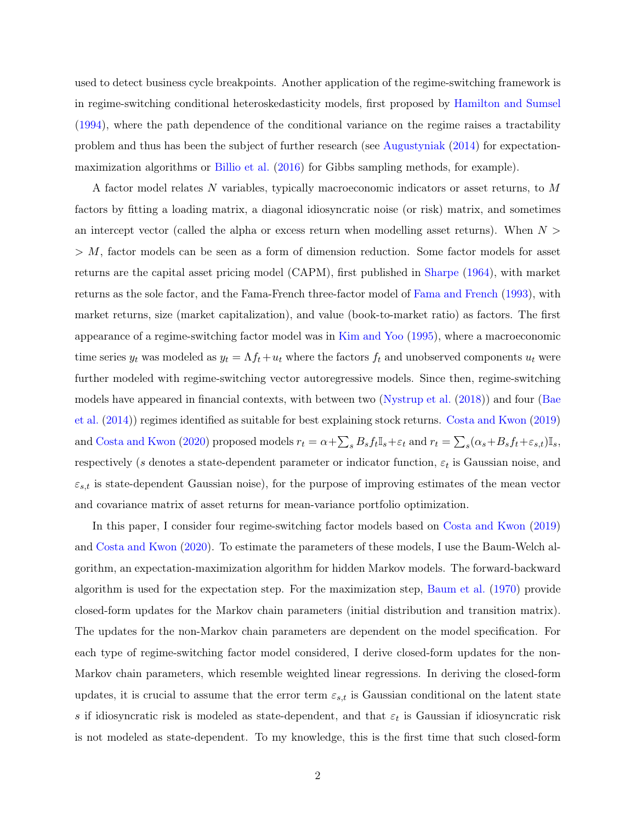used to detect business cycle breakpoints. Another application of the regime-switching framework is in regime-switching conditional heteroskedasticity models, first proposed by [Hamilton and Sumsel](#page-25-1) [\(1994\)](#page-25-1), where the path dependence of the conditional variance on the regime raises a tractability problem and thus has been the subject of further research (see [Augustyniak](#page-24-0) [\(2014\)](#page-24-0) for expectationmaximization algorithms or [Billio et al.](#page-24-1) [\(2016\)](#page-24-1) for Gibbs sampling methods, for example).

A factor model relates N variables, typically macroeconomic indicators or asset returns, to M factors by fitting a loading matrix, a diagonal idiosyncratic noise (or risk) matrix, and sometimes an intercept vector (called the alpha or excess return when modelling asset returns). When  $N >$  $> M$ , factor models can be seen as a form of dimension reduction. Some factor models for asset returns are the capital asset pricing model (CAPM), first published in [Sharpe](#page-25-2) [\(1964\)](#page-25-2), with market returns as the sole factor, and the Fama-French three-factor model of [Fama and French](#page-24-2) [\(1993\)](#page-24-2), with market returns, size (market capitalization), and value (book-to-market ratio) as factors. The first appearance of a regime-switching factor model was in [Kim and Yoo](#page-25-3) [\(1995\)](#page-25-3), where a macroeconomic time series  $y_t$  was modeled as  $y_t = \Lambda f_t + u_t$  where the factors  $f_t$  and unobserved components  $u_t$  were further modeled with regime-switching vector autoregressive models. Since then, regime-switching models have appeared in financial contexts, with between two [\(Nystrup et al.](#page-25-4) [\(2018\)](#page-25-4)) and four [\(Bae](#page-24-3) [et al.](#page-24-3) [\(2014\)](#page-24-3)) regimes identified as suitable for best explaining stock returns. [Costa and Kwon](#page-24-4) [\(2019\)](#page-24-4) and [Costa and Kwon](#page-24-5) [\(2020\)](#page-24-5) proposed models  $r_t = \alpha + \sum_s B_s f_t \mathbb{I}_s + \varepsilon_t$  and  $r_t = \sum_s (\alpha_s + B_s f_t + \varepsilon_{s,t}) \mathbb{I}_s$ , respectively (s denotes a state-dependent parameter or indicator function,  $\varepsilon_t$  is Gaussian noise, and  $\varepsilon_{s,t}$  is state-dependent Gaussian noise), for the purpose of improving estimates of the mean vector and covariance matrix of asset returns for mean-variance portfolio optimization.

In this paper, I consider four regime-switching factor models based on [Costa and Kwon](#page-24-4) [\(2019\)](#page-24-4) and [Costa and Kwon](#page-24-5) [\(2020\)](#page-24-5). To estimate the parameters of these models, I use the Baum-Welch algorithm, an expectation-maximization algorithm for hidden Markov models. The forward-backward algorithm is used for the expectation step. For the maximization step, [Baum et al.](#page-24-6) [\(1970\)](#page-24-6) provide closed-form updates for the Markov chain parameters (initial distribution and transition matrix). The updates for the non-Markov chain parameters are dependent on the model specification. For each type of regime-switching factor model considered, I derive closed-form updates for the non-Markov chain parameters, which resemble weighted linear regressions. In deriving the closed-form updates, it is crucial to assume that the error term  $\varepsilon_{s,t}$  is Gaussian conditional on the latent state s if idiosyncratic risk is modeled as state-dependent, and that  $\varepsilon_t$  is Gaussian if idiosyncratic risk is not modeled as state-dependent. To my knowledge, this is the first time that such closed-form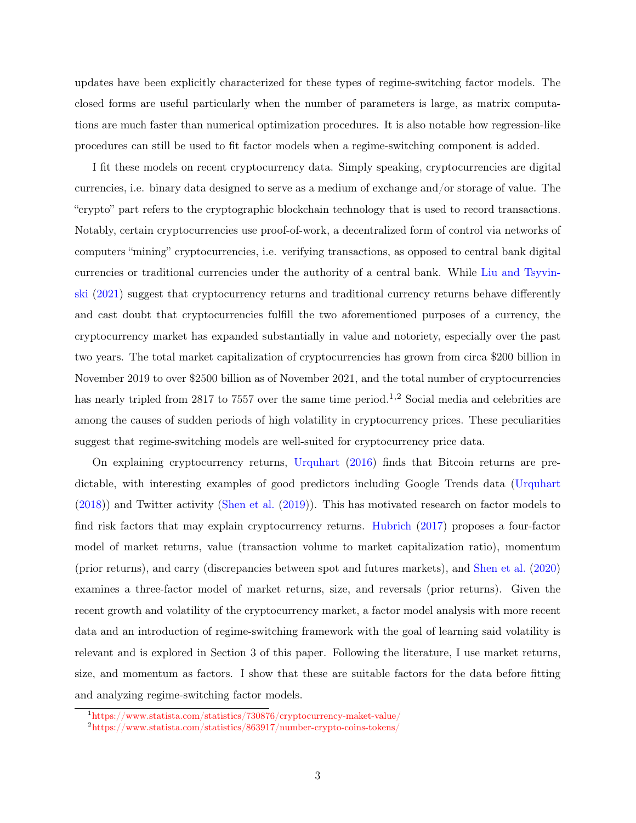updates have been explicitly characterized for these types of regime-switching factor models. The closed forms are useful particularly when the number of parameters is large, as matrix computations are much faster than numerical optimization procedures. It is also notable how regression-like procedures can still be used to fit factor models when a regime-switching component is added.

I fit these models on recent cryptocurrency data. Simply speaking, cryptocurrencies are digital currencies, i.e. binary data designed to serve as a medium of exchange and/or storage of value. The "crypto" part refers to the cryptographic blockchain technology that is used to record transactions. Notably, certain cryptocurrencies use proof-of-work, a decentralized form of control via networks of computers "mining" cryptocurrencies, i.e. verifying transactions, as opposed to central bank digital currencies or traditional currencies under the authority of a central bank. While [Liu and Tsyvin](#page-25-5)[ski](#page-25-5) [\(2021\)](#page-25-5) suggest that cryptocurrency returns and traditional currency returns behave differently and cast doubt that cryptocurrencies fulfill the two aforementioned purposes of a currency, the cryptocurrency market has expanded substantially in value and notoriety, especially over the past two years. The total market capitalization of cryptocurrencies has grown from circa \$200 billion in November 2019 to over \$2500 billion as of November 2021, and the total number of cryptocurrencies has nearly tripled from 28[1](#page-2-0)7 to 7557 over the same time period.<sup>1[,2](#page-2-1)</sup> Social media and celebrities are among the causes of sudden periods of high volatility in cryptocurrency prices. These peculiarities suggest that regime-switching models are well-suited for cryptocurrency price data.

On explaining cryptocurrency returns, [Urquhart](#page-25-6) [\(2016\)](#page-25-6) finds that Bitcoin returns are predictable, with interesting examples of good predictors including Google Trends data [\(Urquhart](#page-25-7) [\(2018\)](#page-25-7)) and Twitter activity [\(Shen et al.](#page-25-8) [\(2019\)](#page-25-8)). This has motivated research on factor models to find risk factors that may explain cryptocurrency returns. [Hubrich](#page-25-9) [\(2017\)](#page-25-9) proposes a four-factor model of market returns, value (transaction volume to market capitalization ratio), momentum (prior returns), and carry (discrepancies between spot and futures markets), and [Shen et al.](#page-25-10) [\(2020\)](#page-25-10) examines a three-factor model of market returns, size, and reversals (prior returns). Given the recent growth and volatility of the cryptocurrency market, a factor model analysis with more recent data and an introduction of regime-switching framework with the goal of learning said volatility is relevant and is explored in Section 3 of this paper. Following the literature, I use market returns, size, and momentum as factors. I show that these are suitable factors for the data before fitting and analyzing regime-switching factor models.

<span id="page-2-0"></span> $1$ <https://www.statista.com/statistics/730876/cryptocurrency-maket-value/>

<span id="page-2-1"></span><sup>2</sup><https://www.statista.com/statistics/863917/number-crypto-coins-tokens/>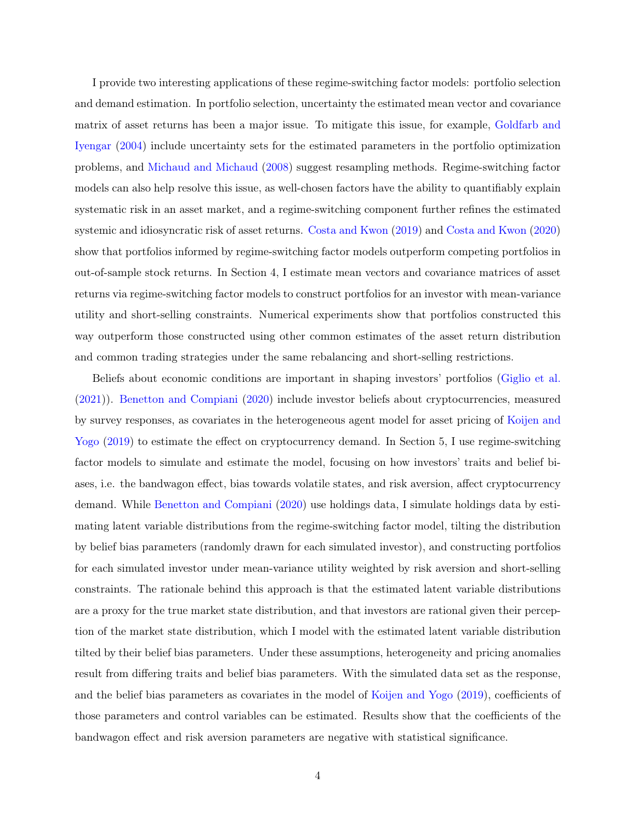I provide two interesting applications of these regime-switching factor models: portfolio selection and demand estimation. In portfolio selection, uncertainty the estimated mean vector and covariance matrix of asset returns has been a major issue. To mitigate this issue, for example, [Goldfarb and](#page-24-7) [Iyengar](#page-24-7) [\(2004\)](#page-24-7) include uncertainty sets for the estimated parameters in the portfolio optimization problems, and [Michaud and Michaud](#page-25-11) [\(2008\)](#page-25-11) suggest resampling methods. Regime-switching factor models can also help resolve this issue, as well-chosen factors have the ability to quantifiably explain systematic risk in an asset market, and a regime-switching component further refines the estimated systemic and idiosyncratic risk of asset returns. [Costa and Kwon](#page-24-4) [\(2019\)](#page-24-4) and [Costa and Kwon](#page-24-5) [\(2020\)](#page-24-5) show that portfolios informed by regime-switching factor models outperform competing portfolios in out-of-sample stock returns. In Section 4, I estimate mean vectors and covariance matrices of asset returns via regime-switching factor models to construct portfolios for an investor with mean-variance utility and short-selling constraints. Numerical experiments show that portfolios constructed this way outperform those constructed using other common estimates of the asset return distribution and common trading strategies under the same rebalancing and short-selling restrictions.

Beliefs about economic conditions are important in shaping investors' portfolios [\(Giglio et al.](#page-24-8) [\(2021\)](#page-24-8)). [Benetton and Compiani](#page-24-9) [\(2020\)](#page-24-9) include investor beliefs about cryptocurrencies, measured by survey responses, as covariates in the heterogeneous agent model for asset pricing of [Koijen and](#page-24-10) [Yogo](#page-24-10) [\(2019\)](#page-24-10) to estimate the effect on cryptocurrency demand. In Section 5, I use regime-switching factor models to simulate and estimate the model, focusing on how investors' traits and belief biases, i.e. the bandwagon effect, bias towards volatile states, and risk aversion, affect cryptocurrency demand. While [Benetton and Compiani](#page-24-9) [\(2020\)](#page-24-9) use holdings data, I simulate holdings data by estimating latent variable distributions from the regime-switching factor model, tilting the distribution by belief bias parameters (randomly drawn for each simulated investor), and constructing portfolios for each simulated investor under mean-variance utility weighted by risk aversion and short-selling constraints. The rationale behind this approach is that the estimated latent variable distributions are a proxy for the true market state distribution, and that investors are rational given their perception of the market state distribution, which I model with the estimated latent variable distribution tilted by their belief bias parameters. Under these assumptions, heterogeneity and pricing anomalies result from differing traits and belief bias parameters. With the simulated data set as the response, and the belief bias parameters as covariates in the model of [Koijen and Yogo](#page-24-10) [\(2019\)](#page-24-10), coefficients of those parameters and control variables can be estimated. Results show that the coefficients of the bandwagon effect and risk aversion parameters are negative with statistical significance.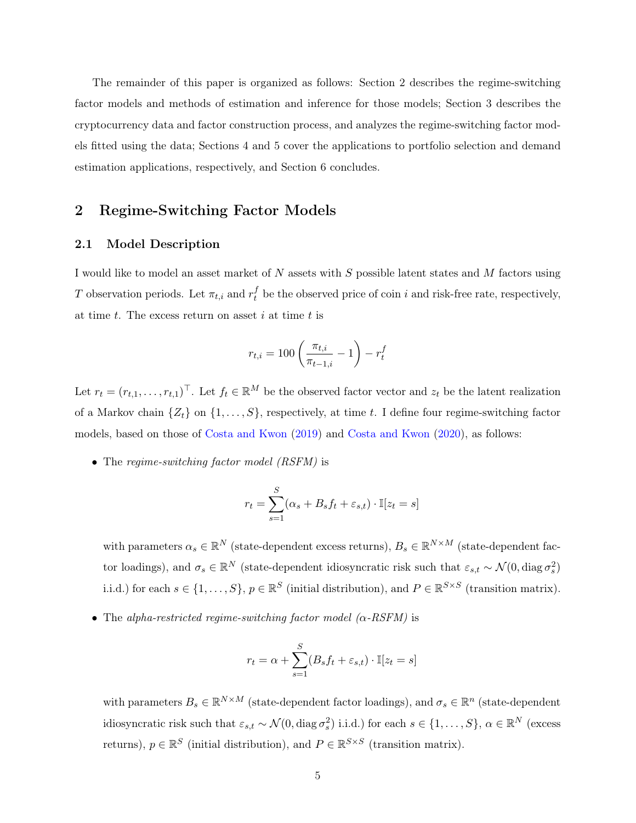The remainder of this paper is organized as follows: Section 2 describes the regime-switching factor models and methods of estimation and inference for those models; Section 3 describes the cryptocurrency data and factor construction process, and analyzes the regime-switching factor models fitted using the data; Sections 4 and 5 cover the applications to portfolio selection and demand estimation applications, respectively, and Section 6 concludes.

# 2 Regime-Switching Factor Models

#### 2.1 Model Description

I would like to model an asset market of N assets with S possible latent states and M factors using T observation periods. Let  $\pi_{t,i}$  and  $r_t^f$  be the observed price of coin i and risk-free rate, respectively, at time t. The excess return on asset i at time t is

$$
r_{t,i} = 100 \left( \frac{\pi_{t,i}}{\pi_{t-1,i}} - 1 \right) - r_t^f
$$

Let  $r_t = (r_{t,1}, \ldots, r_{t,1})^\top$ . Let  $f_t \in \mathbb{R}^M$  be the observed factor vector and  $z_t$  be the latent realization of a Markov chain  $\{Z_t\}$  on  $\{1, \ldots, S\}$ , respectively, at time t. I define four regime-switching factor models, based on those of [Costa and Kwon](#page-24-4) [\(2019\)](#page-24-4) and [Costa and Kwon](#page-24-5) [\(2020\)](#page-24-5), as follows:

• The regime-switching factor model (RSFM) is

$$
r_t = \sum_{s=1}^{S} (\alpha_s + B_s f_t + \varepsilon_{s,t}) \cdot \mathbb{I}[z_t = s]
$$

with parameters  $\alpha_s \in \mathbb{R}^N$  (state-dependent excess returns),  $B_s \in \mathbb{R}^{N \times M}$  (state-dependent factor loadings), and  $\sigma_s \in \mathbb{R}^N$  (state-dependent idiosyncratic risk such that  $\varepsilon_{s,t} \sim \mathcal{N}(0, \text{diag } \sigma_s^2)$ i.i.d.) for each  $s \in \{1, ..., S\}$ ,  $p \in \mathbb{R}^S$  (initial distribution), and  $P \in \mathbb{R}^{S \times S}$  (transition matrix).

• The alpha-restricted regime-switching factor model  $(\alpha$ -RSFM) is

$$
r_t = \alpha + \sum_{s=1}^{S} (B_s f_t + \varepsilon_{s,t}) \cdot \mathbb{I}[z_t = s]
$$

with parameters  $B_s \in \mathbb{R}^{N \times M}$  (state-dependent factor loadings), and  $\sigma_s \in \mathbb{R}^n$  (state-dependent idiosyncratic risk such that  $\varepsilon_{s,t} \sim \mathcal{N}(0, \text{diag}\,\sigma_s^2)$  i.i.d.) for each  $s \in \{1, \ldots, S\}, \, \alpha \in \mathbb{R}^N$  (excess returns),  $p \in \mathbb{R}^S$  (initial distribution), and  $P \in \mathbb{R}^{S \times S}$  (transition matrix).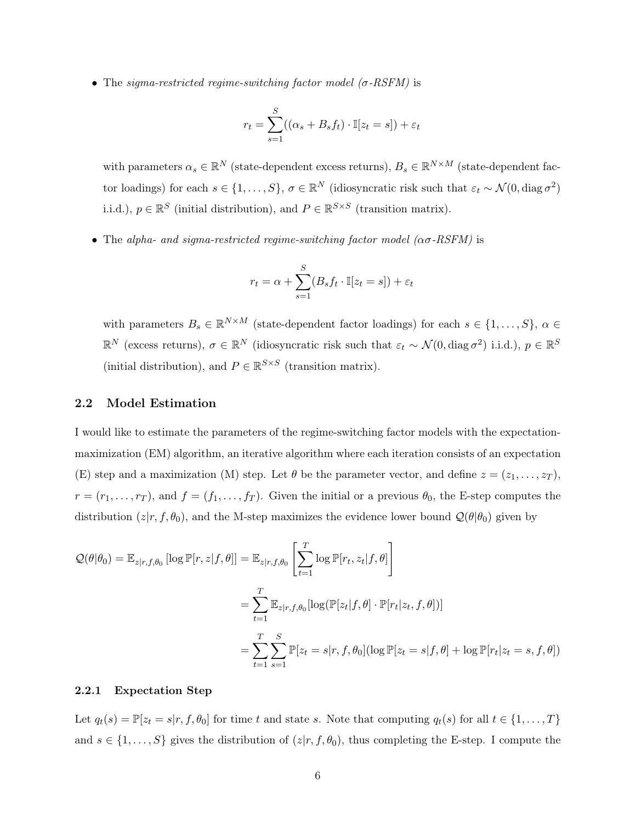• The sigma-restricted regime-switching factor model  $(\sigma$ -RSFM) is

$$
r_t = \sum_{s=1}^{S} ((\alpha_s + B_s f_t) \cdot \mathbb{I}[z_t = s]) + \varepsilon_t
$$

with parameters  $\alpha_s \in \mathbb{R}^N$  (state-dependent excess returns),  $B_s \in \mathbb{R}^{N \times M}$  (state-dependent factor loadings) for each  $s \in \{1, \ldots, S\}$ ,  $\sigma \in \mathbb{R}^N$  (idiosyncratic risk such that  $\varepsilon_t \sim \mathcal{N}(0, \text{diag}\,\sigma^2)$ i.i.d.),  $p \in \mathbb{R}^S$  (initial distribution), and  $P \in \mathbb{R}^{S \times S}$  (transition matrix).

• The alpha- and sigma-restricted regime-switching factor model ( $\alpha \sigma$ -RSFM) is

$$
r_t = \alpha + \sum_{s=1}^{S} (B_s f_t \cdot \mathbb{I}[z_t = s]) + \varepsilon_t
$$

with parameters  $B_s \in \mathbb{R}^{N \times M}$  (state-dependent factor loadings) for each  $s \in \{1, ..., S\}, \alpha \in$  $\mathbb{R}^N$  (excess returns),  $\sigma \in \mathbb{R}^N$  (idiosyncratic risk such that  $\varepsilon_t \sim \mathcal{N}(0, \text{diag}\,\sigma^2)$  i.i.d.),  $p \in \mathbb{R}^S$ (initial distribution), and  $P \in \mathbb{R}^{S \times S}$  (transition matrix).

#### 2.2 Model Estimation

I would like to estimate the parameters of the regime-switching factor models with the expectationmaximization (EM) algorithm, an iterative algorithm where each iteration consists of an expectation (E) step and a maximization (M) step. Let  $\theta$  be the parameter vector, and define  $z = (z_1, \ldots, z_T)$ ,  $r = (r_1, \ldots, r_T)$ , and  $f = (f_1, \ldots, f_T)$ . Given the initial or a previous  $\theta_0$ , the E-step computes the distribution  $(z|r, f, \theta_0)$ , and the M-step maximizes the evidence lower bound  $\mathcal{Q}(\theta|\theta_0)$  given by

$$
\mathcal{Q}(\theta|\theta_0) = \mathbb{E}_{z|r,f,\theta_0} [\log \mathbb{P}[r,z|f,\theta]] = \mathbb{E}_{z|r,f,\theta_0} \left[ \sum_{t=1}^T \log \mathbb{P}[r_t,z_t|f,\theta] \right]
$$
  
\n
$$
= \sum_{t=1}^T \mathbb{E}_{z|r,f,\theta_0} [\log (\mathbb{P}[z_t|f,\theta] \cdot \mathbb{P}[r_t|z_t,f,\theta])]
$$
  
\n
$$
= \sum_{t=1}^T \sum_{s=1}^S \mathbb{P}[z_t = s|r,f,\theta_0] (\log \mathbb{P}[z_t = s|f,\theta] + \log \mathbb{P}[r_t|z_t = s,f,\theta])
$$

#### 2.2.1 Expectation Step

Let  $q_t(s) = \mathbb{P}[z_t = s | r, f, \theta_0]$  for time t and state s. Note that computing  $q_t(s)$  for all  $t \in \{1, ..., T\}$ and  $s \in \{1, \ldots, S\}$  gives the distribution of  $(z|r, f, \theta_0)$ , thus completing the E-step. I compute the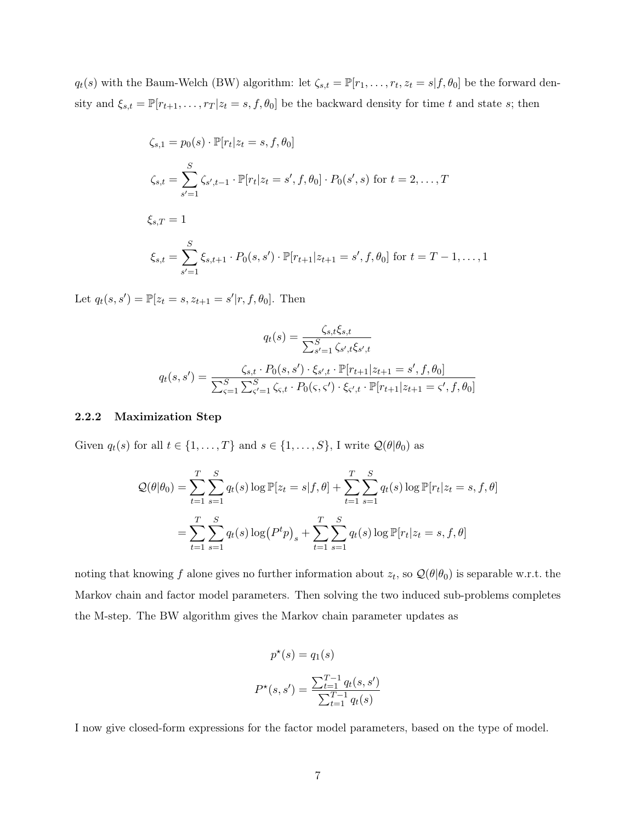$q_t(s)$  with the Baum-Welch (BW) algorithm: let  $\zeta_{s,t} = \mathbb{P}[r_1,\ldots,r_t,z_t=s|f,\theta_0]$  be the forward density and  $\xi_{s,t} = \mathbb{P}[r_{t+1}, \ldots, r_T | z_t = s, f, \theta_0]$  be the backward density for time t and state s; then

$$
\zeta_{s,1} = p_0(s) \cdot \mathbb{P}[r_t | z_t = s, f, \theta_0]
$$
  

$$
\zeta_{s,t} = \sum_{s'=1}^{S} \zeta_{s',t-1} \cdot \mathbb{P}[r_t | z_t = s', f, \theta_0] \cdot P_0(s', s) \text{ for } t = 2, ..., T
$$
  

$$
\xi_{s,T} = 1
$$
  

$$
\xi_{s,t} = \sum_{s'=1}^{S} \xi_{s,t+1} \cdot P_0(s, s') \cdot \mathbb{P}[r_{t+1} | z_{t+1} = s', f, \theta_0] \text{ for } t = T - 1, ..., 1
$$

Let  $q_t(s, s') = \mathbb{P}[z_t = s, z_{t+1} = s'|r, f, \theta_0].$  Then

$$
q_t(s) = \frac{\zeta_{s,t}\xi_{s,t}}{\sum_{s'=1}^S \zeta_{s',t}\xi_{s',t}}
$$

$$
q_t(s,s') = \frac{\zeta_{s,t} \cdot P_0(s,s') \cdot \zeta_{s',t} \cdot \mathbb{P}[r_{t+1}|z_{t+1} = s', f, \theta_0]}{\sum_{s'=1}^S \sum_{s'=1}^S \zeta_{s,t} \cdot P_0(s,s') \cdot \zeta_{s',t} \cdot \mathbb{P}[r_{t+1}|z_{t+1} = s', f, \theta_0]}
$$

#### 2.2.2 Maximization Step

Given  $q_t(s)$  for all  $t \in \{1, ..., T\}$  and  $s \in \{1, ..., S\}$ , I write  $\mathcal{Q}(\theta | \theta_0)$  as

$$
Q(\theta|\theta_0) = \sum_{t=1}^{T} \sum_{s=1}^{S} q_t(s) \log \mathbb{P}[z_t = s | f, \theta] + \sum_{t=1}^{T} \sum_{s=1}^{S} q_t(s) \log \mathbb{P}[r_t | z_t = s, f, \theta]
$$
  
= 
$$
\sum_{t=1}^{T} \sum_{s=1}^{S} q_t(s) \log (P^t p)_s + \sum_{t=1}^{T} \sum_{s=1}^{S} q_t(s) \log \mathbb{P}[r_t | z_t = s, f, \theta]
$$

noting that knowing f alone gives no further information about  $z_t$ , so  $\mathcal{Q}(\theta|\theta_0)$  is separable w.r.t. the Markov chain and factor model parameters. Then solving the two induced sub-problems completes the M-step. The BW algorithm gives the Markov chain parameter updates as

$$
p^*(s) = q_1(s)
$$

$$
P^*(s, s') = \frac{\sum_{t=1}^{T-1} q_t(s, s')}{\sum_{t=1}^{T-1} q_t(s)}
$$

I now give closed-form expressions for the factor model parameters, based on the type of model.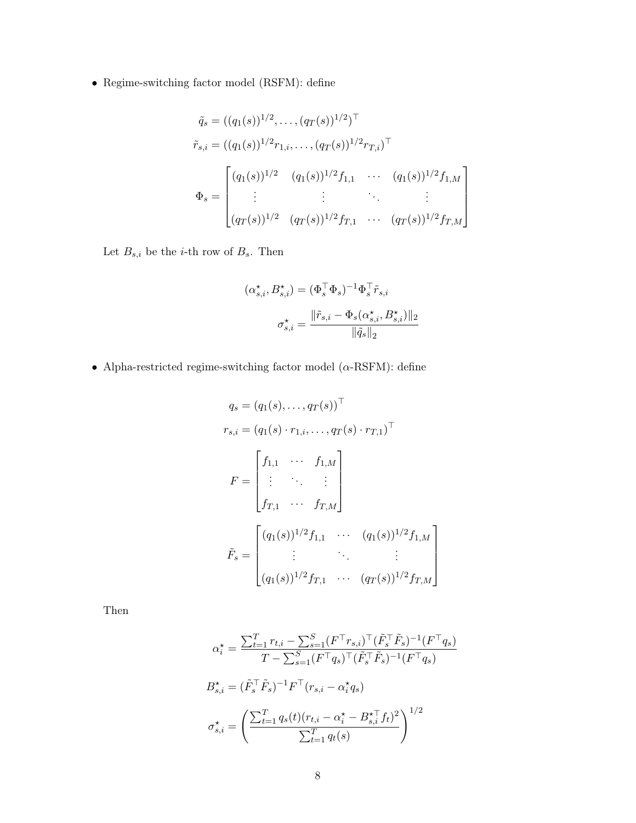$\bullet\,$  Regime-switching factor model (RSFM): define

$$
\tilde{q}_s = ((q_1(s))^{1/2}, \dots, (q_T(s))^{1/2})^\top
$$
\n
$$
\tilde{r}_{s,i} = ((q_1(s))^{1/2} r_{1,i}, \dots, (q_T(s))^{1/2} r_{T,i})^\top
$$
\n
$$
\Phi_s = \begin{bmatrix}\n(q_1(s))^{1/2} & (q_1(s))^{1/2} f_{1,1} & \cdots & (q_1(s))^{1/2} f_{1,M} \\
\vdots & \vdots & \ddots & \vdots \\
(q_T(s))^{1/2} & (q_T(s))^{1/2} f_{T,1} & \cdots & (q_T(s))^{1/2} f_{T,M}\n\end{bmatrix}
$$

Let  $B_{s,i}$  be the *i*-th row of  $B_s$ . Then

$$
(\alpha_{s,i}^{\star}, B_{s,i}^{\star}) = (\Phi_s^{\top} \Phi_s)^{-1} \Phi_s^{\top} \tilde{r}_{s,i}
$$

$$
\sigma_{s,i}^{\star} = \frac{\|\tilde{r}_{s,i} - \Phi_s(\alpha_{s,i}^{\star}, B_{s,i}^{\star})\|_2}{\|\tilde{q}_s\|_2}
$$

 $\bullet\,$  Alpha-restricted regime-switching factor model ( $\alpha\text{-RSTM})$  : define

$$
q_s = (q_1(s), \dots, q_T(s))^{\top}
$$
  
\n
$$
r_{s,i} = (q_1(s) \cdot r_{1,i}, \dots, q_T(s) \cdot r_{T,1})^{\top}
$$
  
\n
$$
F = \begin{bmatrix} f_{1,1} & \cdots & f_{1,M} \\ \vdots & \ddots & \vdots \\ f_{T,1} & \cdots & f_{T,M} \end{bmatrix}
$$
  
\n
$$
\tilde{F}_s = \begin{bmatrix} (q_1(s))^{1/2} f_{1,1} & \cdots & (q_1(s))^{1/2} f_{1,M} \\ \vdots & \ddots & \vdots \\ (q_1(s))^{1/2} f_{T,1} & \cdots & (q_T(s))^{1/2} f_{T,M} \end{bmatrix}
$$

1  $\overline{1}$  $\mathbf{I}$  $\mathbf{I}$  $\overline{1}$ 

Then

$$
\alpha_i^* = \frac{\sum_{t=1}^T r_{t,i} - \sum_{s=1}^S (F^\top r_{s,i})^\top (\tilde{F}_s^\top \tilde{F}_s)^{-1} (F^\top q_s)}{T - \sum_{s=1}^S (F^\top q_s)^\top (\tilde{F}_s^\top \tilde{F}_s)^{-1} (F^\top q_s)}
$$

$$
B_{s,i}^\star = (\tilde{F}_s^\top \tilde{F}_s)^{-1} F^\top (r_{s,i} - \alpha_i^* q_s)
$$

$$
\sigma_{s,i}^\star = \left(\frac{\sum_{t=1}^T q_s(t)(r_{t,i} - \alpha_i^* - B_{s,i}^\star f_t)^2}{\sum_{t=1}^T q_t(s)}\right)^{1/2}
$$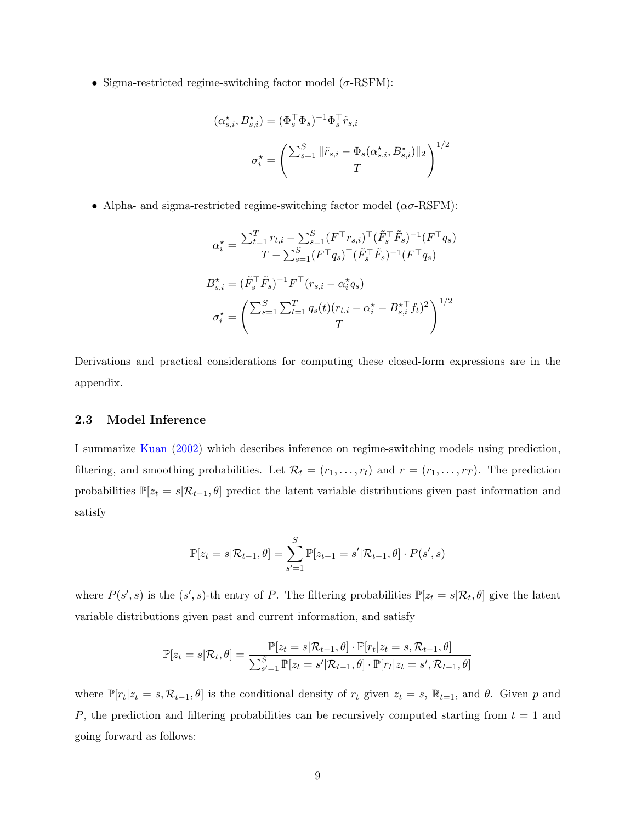• Sigma-restricted regime-switching factor model  $(\sigma\text{-RSFM})$ :

$$
(\alpha_{s,i}^{\star}, B_{s,i}^{\star}) = (\Phi_s^{\top} \Phi_s)^{-1} \Phi_s^{\top} \tilde{r}_{s,i}
$$

$$
\sigma_i^{\star} = \left(\frac{\sum_{s=1}^S \|\tilde{r}_{s,i} - \Phi_s(\alpha_{s,i}^{\star}, B_{s,i}^{\star})\|_2}{T}\right)^{1/2}
$$

• Alpha- and sigma-restricted regime-switching factor model  $(\alpha \sigma$ -RSFM):

$$
\alpha_i^{\star} = \frac{\sum_{t=1}^{T} r_{t,i} - \sum_{s=1}^{S} (F^{\top} r_{s,i})^{\top} (\tilde{F}_s^{\top} \tilde{F}_s)^{-1} (F^{\top} q_s)}{T - \sum_{s=1}^{S} (F^{\top} q_s)^{\top} (\tilde{F}_s^{\top} \tilde{F}_s)^{-1} (F^{\top} q_s)}
$$

$$
B_{s,i}^{\star} = (\tilde{F}_s^{\top} \tilde{F}_s)^{-1} F^{\top} (r_{s,i} - \alpha_i^{\star} q_s)
$$

$$
\sigma_i^{\star} = \left(\frac{\sum_{s=1}^{S} \sum_{t=1}^{T} q_s(t) (r_{t,i} - \alpha_i^{\star} - B_{s,i}^{\star \top} f_t)^2}{T}\right)^{1/2}
$$

Derivations and practical considerations for computing these closed-form expressions are in the appendix.

#### 2.3 Model Inference

I summarize [Kuan](#page-25-12) [\(2002\)](#page-25-12) which describes inference on regime-switching models using prediction, filtering, and smoothing probabilities. Let  $\mathcal{R}_t = (r_1, \ldots, r_t)$  and  $r = (r_1, \ldots, r_T)$ . The prediction probabilities  $\mathbb{P}[z_t = s | \mathcal{R}_{t-1}, \theta]$  predict the latent variable distributions given past information and satisfy

$$
\mathbb{P}[z_t = s | \mathcal{R}_{t-1}, \theta] = \sum_{s'=1}^{S} \mathbb{P}[z_{t-1} = s' | \mathcal{R}_{t-1}, \theta] \cdot P(s', s)
$$

where  $P(s', s)$  is the  $(s', s)$ -th entry of P. The filtering probabilities  $\mathbb{P}[z_t = s | \mathcal{R}_t, \theta]$  give the latent variable distributions given past and current information, and satisfy

$$
\mathbb{P}[z_t = s | \mathcal{R}_t, \theta] = \frac{\mathbb{P}[z_t = s | \mathcal{R}_{t-1}, \theta] \cdot \mathbb{P}[r_t | z_t = s, \mathcal{R}_{t-1}, \theta]}{\sum_{s'=1}^S \mathbb{P}[z_t = s' | \mathcal{R}_{t-1}, \theta] \cdot \mathbb{P}[r_t | z_t = s', \mathcal{R}_{t-1}, \theta]}
$$

where  $\mathbb{P}[r_t|z_t = s, \mathcal{R}_{t-1}, \theta]$  is the conditional density of  $r_t$  given  $z_t = s$ ,  $\mathbb{R}_{t-1}$ , and  $\theta$ . Given p and P, the prediction and filtering probabilities can be recursively computed starting from  $t = 1$  and going forward as follows: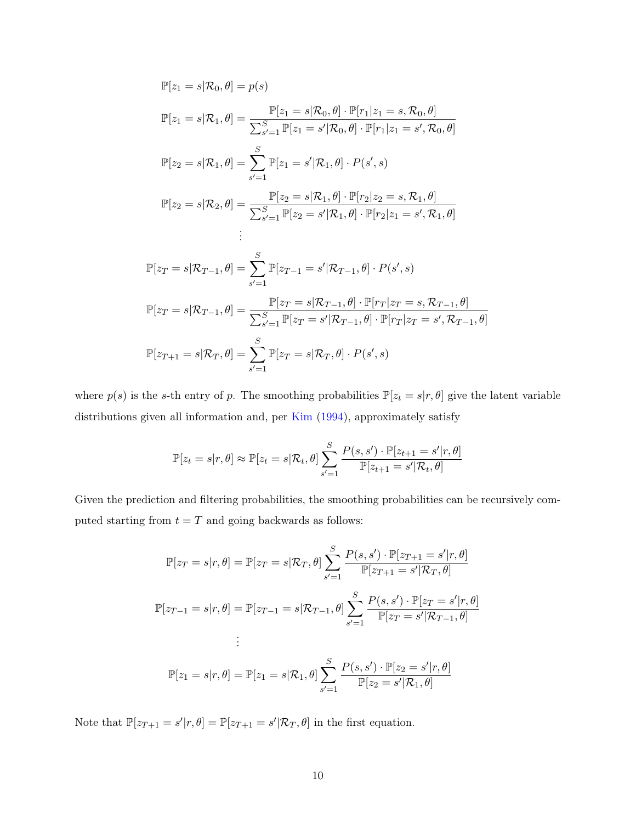$$
\mathbb{P}[z_{1} = s | \mathcal{R}_{0}, \theta] = p(s)
$$
  
\n
$$
\mathbb{P}[z_{1} = s | \mathcal{R}_{1}, \theta] = \frac{\mathbb{P}[z_{1} = s | \mathcal{R}_{0}, \theta] \cdot \mathbb{P}[r_{1} | z_{1} = s, \mathcal{R}_{0}, \theta]}{\sum_{s'=1}^{S} \mathbb{P}[z_{1} = s' | \mathcal{R}_{0}, \theta] \cdot \mathbb{P}[r_{1} | z_{1} = s', \mathcal{R}_{0}, \theta]}
$$
  
\n
$$
\mathbb{P}[z_{2} = s | \mathcal{R}_{1}, \theta] = \sum_{s'=1}^{S} \mathbb{P}[z_{1} = s' | \mathcal{R}_{1}, \theta] \cdot P(s', s)
$$
  
\n
$$
\mathbb{P}[z_{2} = s | \mathcal{R}_{2}, \theta] = \frac{\mathbb{P}[z_{2} = s | \mathcal{R}_{1}, \theta] \cdot \mathbb{P}[r_{2} | z_{2} = s, \mathcal{R}_{1}, \theta]}{\sum_{s'=1}^{S} \mathbb{P}[z_{2} = s' | \mathcal{R}_{1}, \theta] \cdot \mathbb{P}[r_{2} | z_{1} = s', \mathcal{R}_{1}, \theta]}
$$
  
\n
$$
\vdots
$$
  
\n
$$
\mathbb{P}[z_{T} = s | \mathcal{R}_{T-1}, \theta] = \sum_{s'=1}^{S} \mathbb{P}[z_{T-1} = s' | \mathcal{R}_{T-1}, \theta] \cdot P(s', s)
$$
  
\n
$$
\mathbb{P}[z_{T} = s | \mathcal{R}_{T-1}, \theta] = \frac{\mathbb{P}[z_{T} = s | \mathcal{R}_{T-1}, \theta] \cdot \mathbb{P}[r_{T} | z_{T} = s, \mathcal{R}_{T-1}, \theta]}{\sum_{s'=1}^{S} \mathbb{P}[z_{T} = s' | \mathcal{R}_{T-1}, \theta] \cdot \mathbb{P}[r_{T} | z_{T} = s', \mathcal{R}_{T-1}, \theta]}
$$
  
\n
$$
\mathbb{P}[z_{T+1} = s | \mathcal{R}_{T}, \theta] = \sum_{s'=1}^{S} \mathbb{P}[z_{T} = s | \mathcal{R}_{T}, \theta] \cdot P
$$

where  $p(s)$  is the s-th entry of p. The smoothing probabilities  $\mathbb{P}[z_t = s | r, \theta]$  give the latent variable distributions given all information and, per [Kim](#page-25-13) [\(1994\)](#page-25-13), approximately satisfy

$$
\mathbb{P}[z_t = s | r, \theta] \approx \mathbb{P}[z_t = s | \mathcal{R}_t, \theta] \sum_{s'=1}^{S} \frac{P(s, s') \cdot \mathbb{P}[z_{t+1} = s' | r, \theta]}{\mathbb{P}[z_{t+1} = s' | \mathcal{R}_t, \theta]}
$$

Given the prediction and filtering probabilities, the smoothing probabilities can be recursively computed starting from  $t=T$  and going backwards as follows:

$$
\mathbb{P}[z_T = s | r, \theta] = \mathbb{P}[z_T = s | \mathcal{R}_T, \theta] \sum_{s'=1}^{S} \frac{P(s, s') \cdot \mathbb{P}[z_{T+1} = s' | r, \theta]}{\mathbb{P}[z_{T+1} = s' | \mathcal{R}_T, \theta]}
$$

$$
\mathbb{P}[z_{T-1} = s | r, \theta] = \mathbb{P}[z_{T-1} = s | \mathcal{R}_{T-1}, \theta] \sum_{s'=1}^{S} \frac{P(s, s') \cdot \mathbb{P}[z_T = s' | r, \theta]}{\mathbb{P}[z_T = s' | \mathcal{R}_{T-1}, \theta]}
$$

$$
\vdots
$$

$$
\mathbb{P}[z_1 = s | r, \theta] = \mathbb{P}[z_1 = s | \mathcal{R}_1, \theta] \sum_{s'=1}^{S} \frac{P(s, s') \cdot \mathbb{P}[z_2 = s' | r, \theta]}{\mathbb{P}[z_2 = s' | \mathcal{R}_1, \theta]}
$$

Note that  $\mathbb{P}[z_{T+1} = s' | r, \theta] = \mathbb{P}[z_{T+1} = s' | \mathcal{R}_T, \theta]$  in the first equation.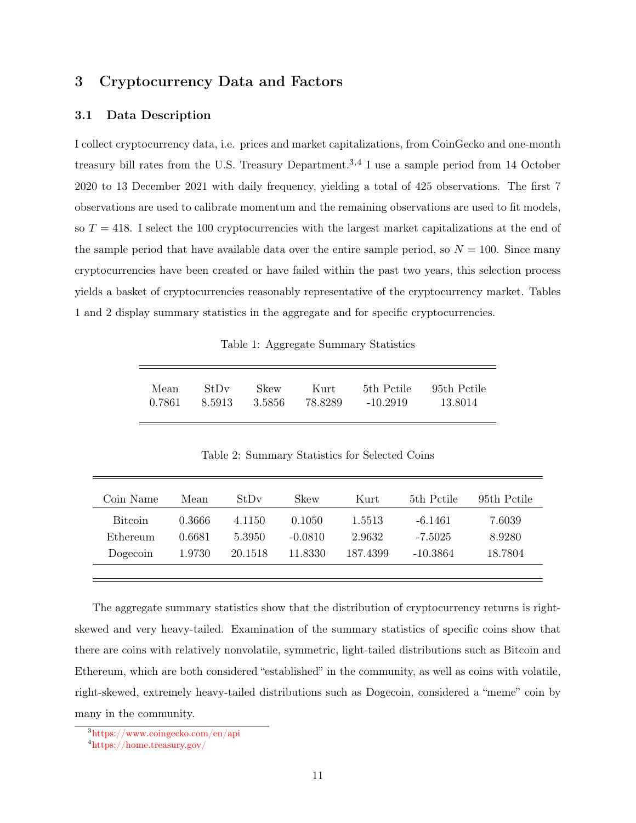# 3 Cryptocurrency Data and Factors

#### 3.1 Data Description

I collect cryptocurrency data, i.e. prices and market capitalizations, from CoinGecko and one-month treasury bill rates from the U.S. Treasury Department.<sup>[3,](#page-10-0)[4](#page-10-1)</sup> I use a sample period from 14 October 2020 to 13 December 2021 with daily frequency, yielding a total of 425 observations. The first 7 observations are used to calibrate momentum and the remaining observations are used to fit models, so  $T = 418$ . I select the 100 cryptocurrencies with the largest market capitalizations at the end of the sample period that have available data over the entire sample period, so  $N = 100$ . Since many cryptocurrencies have been created or have failed within the past two years, this selection process yields a basket of cryptocurrencies reasonably representative of the cryptocurrency market. Tables 1 and 2 display summary statistics in the aggregate and for specific cryptocurrencies.

Table 1: Aggregate Summary Statistics

| Mean | StDv | Skew | – Kurt                       |          | 5th Pctile 95th Pctile |
|------|------|------|------------------------------|----------|------------------------|
|      |      |      | 0.7861 8.5913 3.5856 78.8289 | -10.2919 | 13.8014                |

Table 2: Summary Statistics for Selected Coins

| Coin Name      | Mean   | StDv    | Skew      | Kurt     | 5th Petile | 95th Pctile |
|----------------|--------|---------|-----------|----------|------------|-------------|
| <b>Bitcoin</b> | 0.3666 | 4.1150  | 0.1050    | 1.5513   | $-6.1461$  | 7.6039      |
| Ethereum       | 0.6681 | 5.3950  | $-0.0810$ | 2.9632   | $-7.5025$  | 8.9280      |
| Dogecoin       | 1.9730 | 20.1518 | 11.8330   | 187.4399 | -10.3864   | 18.7804     |
|                |        |         |           |          |            |             |

The aggregate summary statistics show that the distribution of cryptocurrency returns is rightskewed and very heavy-tailed. Examination of the summary statistics of specific coins show that there are coins with relatively nonvolatile, symmetric, light-tailed distributions such as Bitcoin and Ethereum, which are both considered "established" in the community, as well as coins with volatile, right-skewed, extremely heavy-tailed distributions such as Dogecoin, considered a "meme" coin by many in the community.

<span id="page-10-0"></span><sup>3</sup><https://www.coingecko.com/en/api>

<span id="page-10-1"></span><sup>4</sup><https://home.treasury.gov/>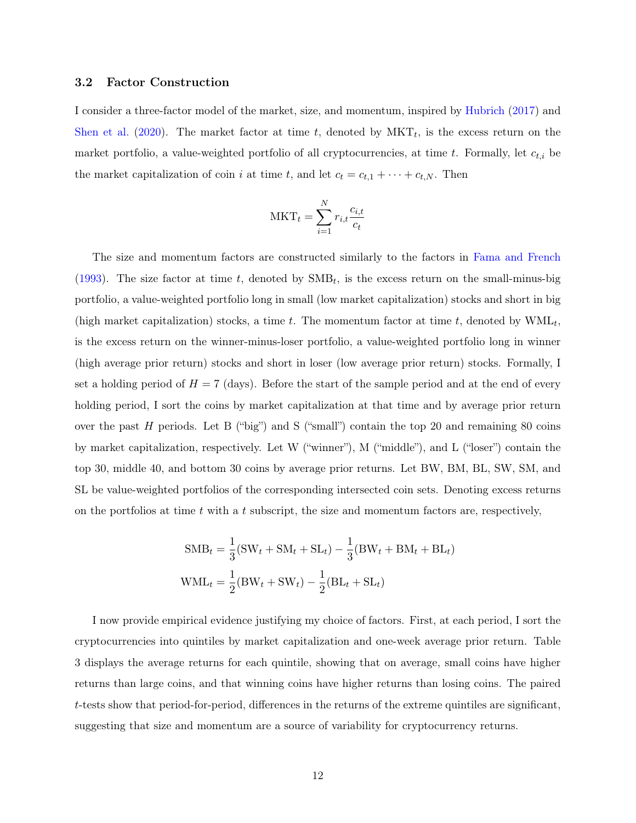#### 3.2 Factor Construction

I consider a three-factor model of the market, size, and momentum, inspired by [Hubrich](#page-25-9) [\(2017\)](#page-25-9) and [Shen et al.](#page-25-10) [\(2020\)](#page-25-10). The market factor at time t, denoted by  $MKT_t$ , is the excess return on the market portfolio, a value-weighted portfolio of all cryptocurrencies, at time t. Formally, let  $c_{t,i}$  be the market capitalization of coin i at time t, and let  $c_t = c_{t,1} + \cdots + c_{t,N}$ . Then

$$
\text{MKT}_t = \sum_{i=1}^{N} r_{i,t} \frac{c_{i,t}}{c_t}
$$

The size and momentum factors are constructed similarly to the factors in [Fama and French](#page-24-2) [\(1993\)](#page-24-2). The size factor at time t, denoted by  $\text{SMB}_t$ , is the excess return on the small-minus-big portfolio, a value-weighted portfolio long in small (low market capitalization) stocks and short in big (high market capitalization) stocks, a time  $t$ . The momentum factor at time  $t$ , denoted by  $\text{WML}_{t}$ , is the excess return on the winner-minus-loser portfolio, a value-weighted portfolio long in winner (high average prior return) stocks and short in loser (low average prior return) stocks. Formally, I set a holding period of  $H = 7$  (days). Before the start of the sample period and at the end of every holding period, I sort the coins by market capitalization at that time and by average prior return over the past  $H$  periods. Let B ("big") and S ("small") contain the top 20 and remaining 80 coins by market capitalization, respectively. Let W ("winner"), M ("middle"), and L ("loser") contain the top 30, middle 40, and bottom 30 coins by average prior returns. Let BW, BM, BL, SW, SM, and SL be value-weighted portfolios of the corresponding intersected coin sets. Denoting excess returns on the portfolios at time  $t$  with a  $t$  subscript, the size and momentum factors are, respectively,

$$
SMB_t = \frac{1}{3}(SW_t + SM_t + SL_t) - \frac{1}{3}(BW_t + BM_t + BL_t)
$$
  

$$
WML_t = \frac{1}{2}(BW_t + SW_t) - \frac{1}{2}(BL_t + SL_t)
$$

I now provide empirical evidence justifying my choice of factors. First, at each period, I sort the cryptocurrencies into quintiles by market capitalization and one-week average prior return. Table 3 displays the average returns for each quintile, showing that on average, small coins have higher returns than large coins, and that winning coins have higher returns than losing coins. The paired t-tests show that period-for-period, differences in the returns of the extreme quintiles are significant, suggesting that size and momentum are a source of variability for cryptocurrency returns.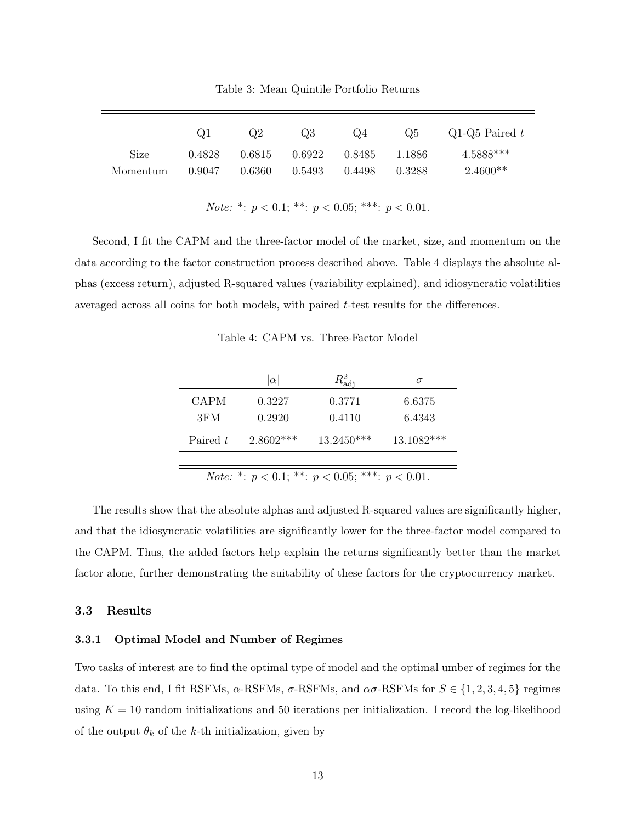|          | Ql     | $\mathrm{Q}2$ | Q3     | Q4     | Q5     | Q1-Q5 Paired $t$ |
|----------|--------|---------------|--------|--------|--------|------------------|
| Size     | 0.4828 | 0.6815        | 0.6922 | 0.8485 | 1.1886 | $4.5888***$      |
| Momentum | 0.9047 | 0.6360        | 0.5493 | 0.4498 | 0.3288 | $2.4600**$       |
|          |        |               |        |        |        |                  |

Table 3: Mean Quintile Portfolio Returns

Note: \*:  $p < 0.1$ ; \*\*:  $p < 0.05$ ; \*\*\*:  $p < 0.01$ .

Second, I fit the CAPM and the three-factor model of the market, size, and momentum on the data according to the factor construction process described above. Table 4 displays the absolute alphas (excess return), adjusted R-squared values (variability explained), and idiosyncratic volatilities averaged across all coins for both models, with paired t-test results for the differences.

Table 4: CAPM vs. Three-Factor Model

|                                                                | $ \alpha $  | $R_{\rm adi}^2$ | $\sigma$   |  |  |  |
|----------------------------------------------------------------|-------------|-----------------|------------|--|--|--|
| <b>CAPM</b>                                                    | 0.3227      | 0.3771          | 6.6375     |  |  |  |
| 3FM                                                            | 0.2920      | 0.4110          | 6.4343     |  |  |  |
| Paired t                                                       | $2.8602***$ | $13.2450***$    | 13.1082*** |  |  |  |
|                                                                |             |                 |            |  |  |  |
| <i>Note:</i> *: $p < 0.1$ ; **: $p < 0.05$ ; ***: $p < 0.01$ . |             |                 |            |  |  |  |

The results show that the absolute alphas and adjusted R-squared values are significantly higher, and that the idiosyncratic volatilities are significantly lower for the three-factor model compared to the CAPM. Thus, the added factors help explain the returns significantly better than the market factor alone, further demonstrating the suitability of these factors for the cryptocurrency market.

## 3.3 Results

#### 3.3.1 Optimal Model and Number of Regimes

Two tasks of interest are to find the optimal type of model and the optimal umber of regimes for the data. To this end, I fit RSFMs,  $\alpha$ -RSFMs,  $\sigma$ -RSFMs, and  $\alpha \sigma$ -RSFMs for  $S \in \{1, 2, 3, 4, 5\}$  regimes using  $K = 10$  random initializations and 50 iterations per initialization. I record the log-likelihood of the output  $\theta_k$  of the k-th initialization, given by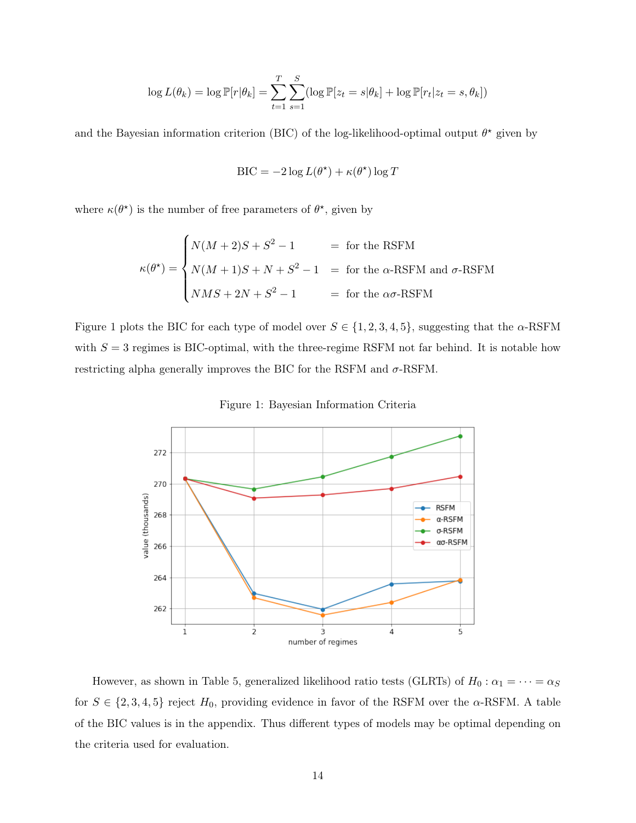$$
\log L(\theta_k) = \log \mathbb{P}[r|\theta_k] = \sum_{t=1}^T \sum_{s=1}^S (\log \mathbb{P}[z_t = s | \theta_k] + \log \mathbb{P}[r_t | z_t = s, \theta_k])
$$

and the Bayesian information criterion (BIC) of the log-likelihood-optimal output  $\theta^*$  given by

$$
\text{BIC} = -2\log L(\theta^{\star}) + \kappa(\theta^{\star})\log T
$$

where  $\kappa(\theta^*)$  is the number of free parameters of  $\theta^*$ , given by

$$
\kappa(\theta^*) = \begin{cases} N(M+2)S + S^2 - 1 &= \text{for the RSFM} \\ N(M+1)S + N + S^2 - 1 &= \text{for the } \alpha\text{-RSFM} \\ NMS + 2N + S^2 - 1 &= \text{for the } \alpha\sigma\text{-RSFM} \end{cases}
$$

Figure 1 plots the BIC for each type of model over  $S \in \{1, 2, 3, 4, 5\}$ , suggesting that the  $\alpha$ -RSFM with  $S = 3$  regimes is BIC-optimal, with the three-regime RSFM not far behind. It is notable how restricting alpha generally improves the BIC for the RSFM and  $\sigma$ -RSFM.





However, as shown in Table 5, generalized likelihood ratio tests (GLRTs) of  $H_0: \alpha_1 = \cdots = \alpha_S$ for  $S \in \{2, 3, 4, 5\}$  reject  $H_0$ , providing evidence in favor of the RSFM over the  $\alpha$ -RSFM. A table of the BIC values is in the appendix. Thus different types of models may be optimal depending on the criteria used for evaluation.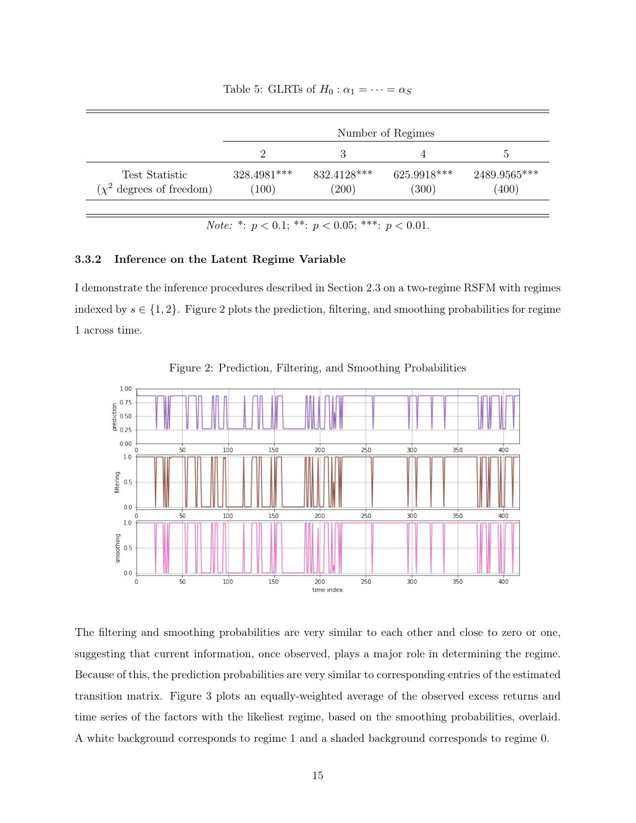|  |  |  | Table 5: GLRTs of $H_0: \alpha_1 = \cdots = \alpha_S$ |
|--|--|--|-------------------------------------------------------|
|--|--|--|-------------------------------------------------------|

|                                                 | Number of Regimes    |                      |                      |                       |  |
|-------------------------------------------------|----------------------|----------------------|----------------------|-----------------------|--|
|                                                 |                      |                      |                      | G                     |  |
| Test Statistic<br>$(\chi^2$ degrees of freedom) | 328.4981***<br>(100) | 832.4128***<br>(200) | 625.9918***<br>(300) | 2489.9565***<br>(400) |  |

Note: \*:  $p < 0.1$ ; \*\*:  $p < 0.05$ ; \*\*\*:  $p < 0.01$ .

#### 3.3.2 Inference on the Latent Regime Variable

I demonstrate the inference procedures described in Section 2.3 on a two-regime RSFM with regimes indexed by  $s \in \{1,2\}$ . Figure 2 plots the prediction, filtering, and smoothing probabilities for regime 1 across time.



Figure 2: Prediction, Filtering, and Smoothing Probabilities

The filtering and smoothing probabilities are very similar to each other and close to zero or one, suggesting that current information, once observed, plays a major role in determining the regime. Because of this, the prediction probabilities are very similar to corresponding entries of the estimated transition matrix. Figure 3 plots an equally-weighted average of the observed excess returns and time series of the factors with the likeliest regime, based on the smoothing probabilities, overlaid. A white background corresponds to regime 1 and a shaded background corresponds to regime 0.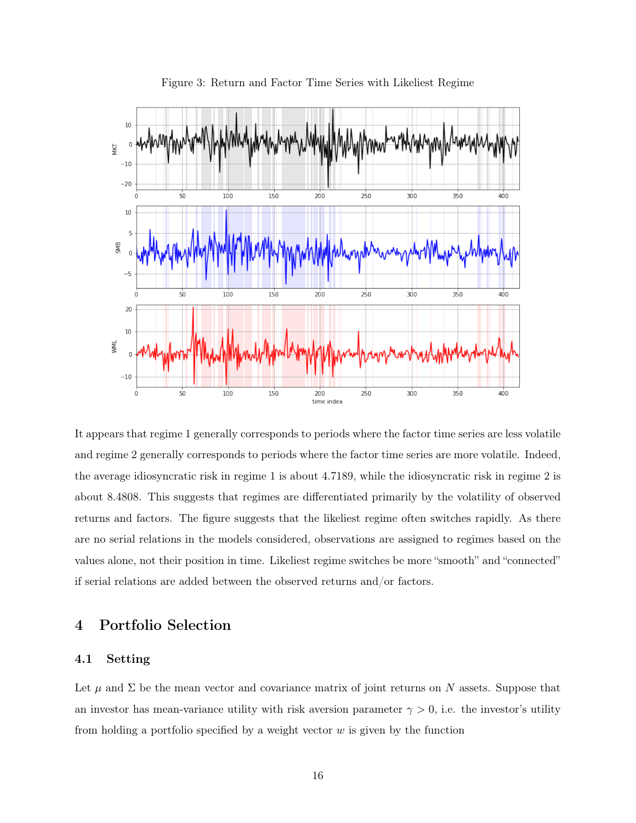

Figure 3: Return and Factor Time Series with Likeliest Regime

It appears that regime 1 generally corresponds to periods where the factor time series are less volatile and regime 2 generally corresponds to periods where the factor time series are more volatile. Indeed, the average idiosyncratic risk in regime 1 is about 4.7189, while the idiosyncratic risk in regime 2 is about 8.4808. This suggests that regimes are differentiated primarily by the volatility of observed returns and factors. The figure suggests that the likeliest regime often switches rapidly. As there are no serial relations in the models considered, observations are assigned to regimes based on the values alone, not their position in time. Likeliest regime switches be more "smooth" and "connected" if serial relations are added between the observed returns and/or factors.

# 4 Portfolio Selection

## 4.1 Setting

Let  $\mu$  and  $\Sigma$  be the mean vector and covariance matrix of joint returns on N assets. Suppose that an investor has mean-variance utility with risk aversion parameter  $\gamma > 0$ , i.e. the investor's utility from holding a portfolio specified by a weight vector  $w$  is given by the function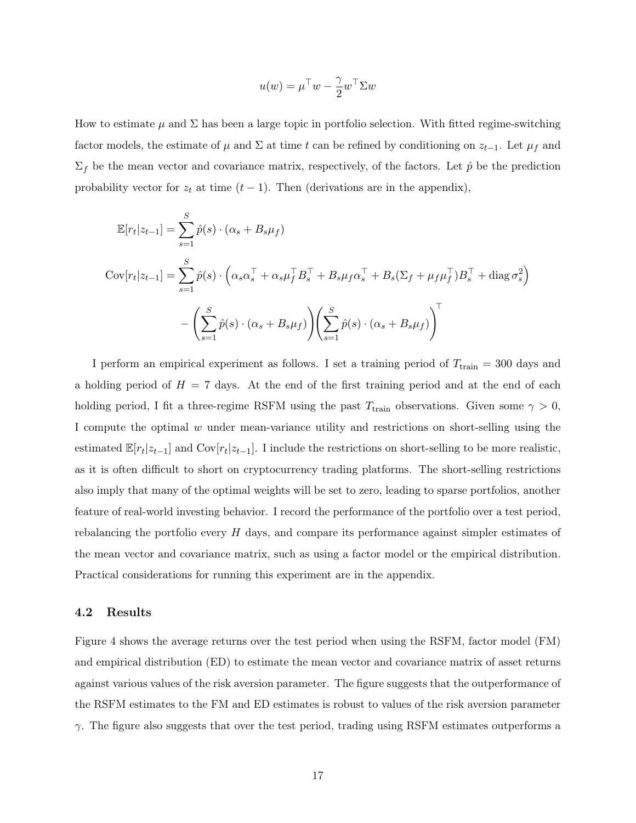$$
u(w) = \mu^{\top} w - \frac{\gamma}{2} w^{\top} \Sigma w
$$

How to estimate  $\mu$  and  $\Sigma$  has been a large topic in portfolio selection. With fitted regime-switching factor models, the estimate of  $\mu$  and  $\Sigma$  at time t can be refined by conditioning on  $z_{t-1}$ . Let  $\mu_f$  and  $\Sigma_f$  be the mean vector and covariance matrix, respectively, of the factors. Let  $\hat{p}$  be the prediction probability vector for  $z_t$  at time  $(t-1)$ . Then (derivations are in the appendix),

$$
\mathbb{E}[r_t|z_{t-1}] = \sum_{s=1}^{S} \hat{p}(s) \cdot (\alpha_s + B_s \mu_f)
$$
  
\n
$$
Cov[r_t|z_{t-1}] = \sum_{s=1}^{S} \hat{p}(s) \cdot (\alpha_s \alpha_s^{\top} + \alpha_s \mu_f^{\top} B_s^{\top} + B_s \mu_f \alpha_s^{\top} + B_s (\Sigma_f + \mu_f \mu_f^{\top}) B_s^{\top} + \text{diag} \sigma_s^2)
$$
  
\n
$$
- \left( \sum_{s=1}^{S} \hat{p}(s) \cdot (\alpha_s + B_s \mu_f) \right) \left( \sum_{s=1}^{S} \hat{p}(s) \cdot (\alpha_s + B_s \mu_f) \right)^{\top}
$$

I perform an empirical experiment as follows. I set a training period of  $T_{\text{train}} = 300$  days and a holding period of  $H = 7$  days. At the end of the first training period and at the end of each holding period, I fit a three-regime RSFM using the past  $T_{\text{train}}$  observations. Given some  $\gamma > 0$ , I compute the optimal  $w$  under mean-variance utility and restrictions on short-selling using the estimated  $\mathbb{E}[r_t|z_{t-1}]$  and  $\text{Cov}[r_t|z_{t-1}]$ . I include the restrictions on short-selling to be more realistic, as it is often difficult to short on cryptocurrency trading platforms. The short-selling restrictions also imply that many of the optimal weights will be set to zero, leading to sparse portfolios, another feature of real-world investing behavior. I record the performance of the portfolio over a test period, rebalancing the portfolio every H days, and compare its performance against simpler estimates of the mean vector and covariance matrix, such as using a factor model or the empirical distribution. Practical considerations for running this experiment are in the appendix.

#### 4.2 Results

Figure 4 shows the average returns over the test period when using the RSFM, factor model (FM) and empirical distribution (ED) to estimate the mean vector and covariance matrix of asset returns against various values of the risk aversion parameter. The figure suggests that the outperformance of the RSFM estimates to the FM and ED estimates is robust to values of the risk aversion parameter  $\gamma$ . The figure also suggests that over the test period, trading using RSFM estimates outperforms a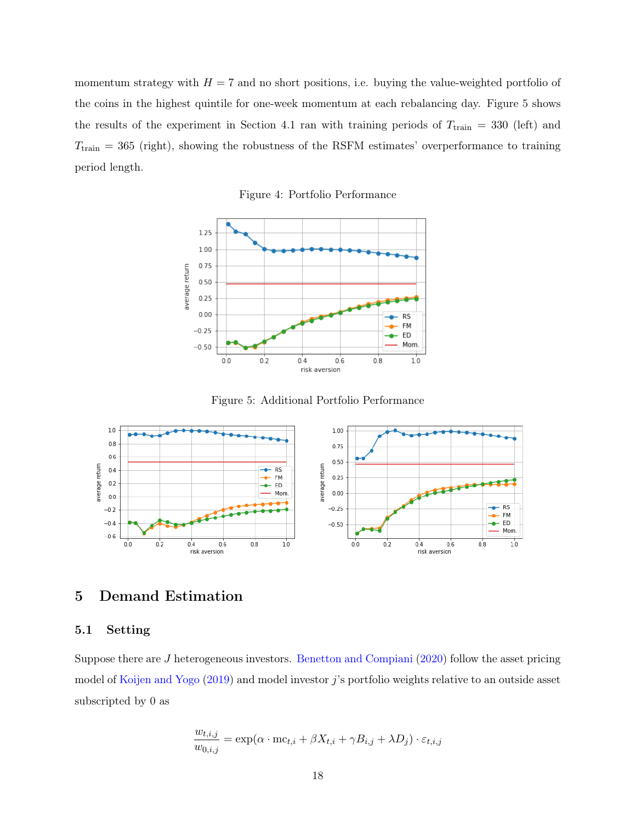momentum strategy with  $H = 7$  and no short positions, i.e. buying the value-weighted portfolio of the coins in the highest quintile for one-week momentum at each rebalancing day. Figure 5 shows the results of the experiment in Section 4.1 ran with training periods of  $T_{\text{train}} = 330$  (left) and  $T_{\text{train}} = 365$  (right), showing the robustness of the RSFM estimates' overperformance to training period length.

Figure 4: Portfolio Performance



Figure 5: Additional Portfolio Performance



# 5 Demand Estimation

## 5.1 Setting

Suppose there are J heterogeneous investors. [Benetton and Compiani](#page-24-9) [\(2020\)](#page-24-9) follow the asset pricing model of [Koijen and Yogo](#page-24-10) [\(2019\)](#page-24-10) and model investor j's portfolio weights relative to an outside asset subscripted by 0 as

$$
\frac{w_{t,i,j}}{w_{0,i,j}} = \exp(\alpha \cdot mc_{t,i} + \beta X_{t,i} + \gamma B_{i,j} + \lambda D_j) \cdot \varepsilon_{t,i,j}
$$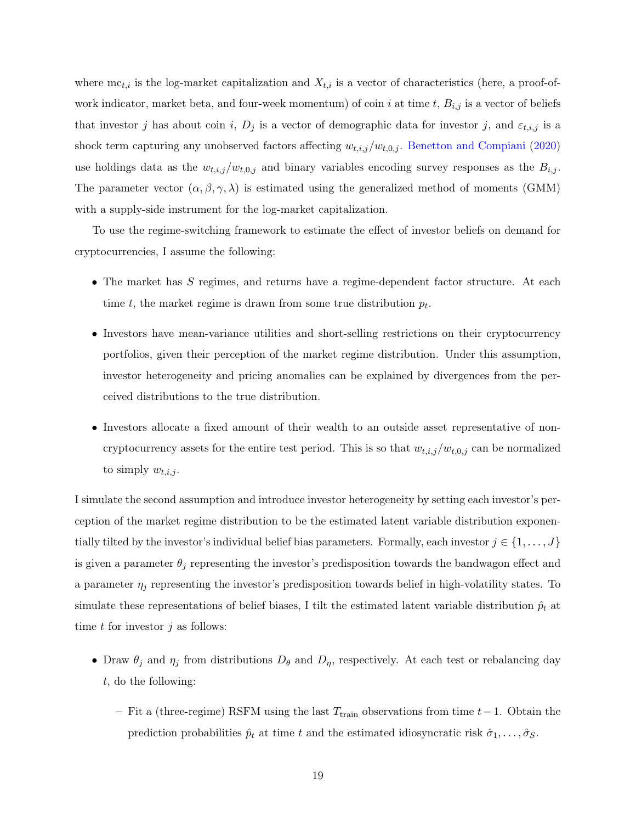where  $mc_{t,i}$  is the log-market capitalization and  $X_{t,i}$  is a vector of characteristics (here, a proof-ofwork indicator, market beta, and four-week momentum) of coin i at time t,  $B_{i,j}$  is a vector of beliefs that investor j has about coin i,  $D_j$  is a vector of demographic data for investor j, and  $\varepsilon_{t,i,j}$  is a shock term capturing any unobserved factors affecting  $w_{t,i,j}/w_{t,0,j}$ . [Benetton and Compiani](#page-24-9) [\(2020\)](#page-24-9) use holdings data as the  $w_{t,i,j}/w_{t,0,j}$  and binary variables encoding survey responses as the  $B_{i,j}$ . The parameter vector  $(\alpha, \beta, \gamma, \lambda)$  is estimated using the generalized method of moments (GMM) with a supply-side instrument for the log-market capitalization.

To use the regime-switching framework to estimate the effect of investor beliefs on demand for cryptocurrencies, I assume the following:

- The market has S regimes, and returns have a regime-dependent factor structure. At each time  $t$ , the market regime is drawn from some true distribution  $p_t$ .
- Investors have mean-variance utilities and short-selling restrictions on their cryptocurrency portfolios, given their perception of the market regime distribution. Under this assumption, investor heterogeneity and pricing anomalies can be explained by divergences from the perceived distributions to the true distribution.
- Investors allocate a fixed amount of their wealth to an outside asset representative of noncryptocurrency assets for the entire test period. This is so that  $w_{t,i,j}/w_{t,0,j}$  can be normalized to simply  $w_{t,i,j}$ .

I simulate the second assumption and introduce investor heterogeneity by setting each investor's perception of the market regime distribution to be the estimated latent variable distribution exponentially tilted by the investor's individual belief bias parameters. Formally, each investor  $j \in \{1, \ldots, J\}$ is given a parameter  $\theta_j$  representing the investor's predisposition towards the bandwagon effect and a parameter  $\eta_j$  representing the investor's predisposition towards belief in high-volatility states. To simulate these representations of belief biases, I tilt the estimated latent variable distribution  $\hat{p}_t$  at time  $t$  for investor  $j$  as follows:

- Draw  $\theta_j$  and  $\eta_j$  from distributions  $D_\theta$  and  $D_\eta$ , respectively. At each test or rebalancing day t, do the following:
	- Fit a (three-regime) RSFM using the last  $T_{\text{train}}$  observations from time  $t-1$ . Obtain the prediction probabilities  $\hat{p}_t$  at time t and the estimated idiosyncratic risk  $\hat{\sigma}_1, \ldots, \hat{\sigma}_S$ .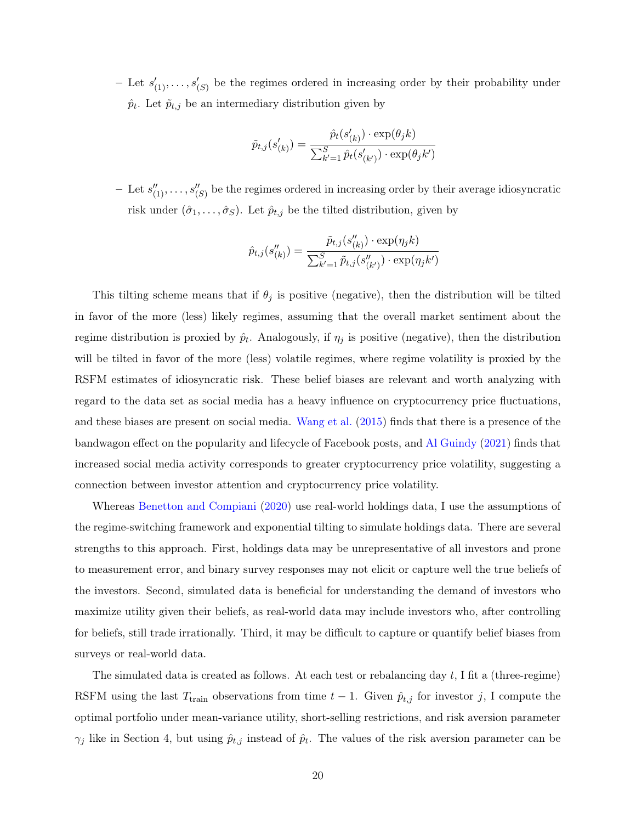- Let  $s'_{(1)},\ldots,s'_{(S)}$  be the regimes ordered in increasing order by their probability under  $\hat{p}_t$ . Let  $\tilde{p}_{t,j}$  be an intermediary distribution given by

$$
\tilde{p}_{t,j}(s'_{(k)}) = \frac{\hat{p}_t(s'_{(k)}) \cdot \exp(\theta_j k)}{\sum_{k'=1}^S \hat{p}_t(s'_{(k')}) \cdot \exp(\theta_j k')}
$$

- Let  $s''_{(1)},\ldots,s''_{(S)}$  be the regimes ordered in increasing order by their average idiosyncratic risk under  $(\hat{\sigma}_1, \ldots, \hat{\sigma}_S)$ . Let  $\hat{p}_{t,j}$  be the tilted distribution, given by

$$
\hat{p}_{t,j}(s_{(k)}'') = \frac{\tilde{p}_{t,j}(s_{(k)}'') \cdot \exp(\eta_j k)}{\sum_{k'=1}^{S} \tilde{p}_{t,j}(s_{(k')}'') \cdot \exp(\eta_j k')}
$$

This tilting scheme means that if  $\theta_j$  is positive (negative), then the distribution will be tilted in favor of the more (less) likely regimes, assuming that the overall market sentiment about the regime distribution is proxied by  $\hat{p}_t$ . Analogously, if  $\eta_j$  is positive (negative), then the distribution will be tilted in favor of the more (less) volatile regimes, where regime volatility is proxied by the RSFM estimates of idiosyncratic risk. These belief biases are relevant and worth analyzing with regard to the data set as social media has a heavy influence on cryptocurrency price fluctuations, and these biases are present on social media. [Wang et al.](#page-25-14) [\(2015\)](#page-25-14) finds that there is a presence of the bandwagon effect on the popularity and lifecycle of Facebook posts, and [Al Guindy](#page-24-11) [\(2021\)](#page-24-11) finds that increased social media activity corresponds to greater cryptocurrency price volatility, suggesting a connection between investor attention and cryptocurrency price volatility.

Whereas [Benetton and Compiani](#page-24-9) [\(2020\)](#page-24-9) use real-world holdings data, I use the assumptions of the regime-switching framework and exponential tilting to simulate holdings data. There are several strengths to this approach. First, holdings data may be unrepresentative of all investors and prone to measurement error, and binary survey responses may not elicit or capture well the true beliefs of the investors. Second, simulated data is beneficial for understanding the demand of investors who maximize utility given their beliefs, as real-world data may include investors who, after controlling for beliefs, still trade irrationally. Third, it may be difficult to capture or quantify belief biases from surveys or real-world data.

The simulated data is created as follows. At each test or rebalancing day  $t$ , I fit a (three-regime) RSFM using the last  $T_{\text{train}}$  observations from time  $t-1$ . Given  $\hat{p}_{t,j}$  for investor j, I compute the optimal portfolio under mean-variance utility, short-selling restrictions, and risk aversion parameter  $\gamma_j$  like in Section 4, but using  $\hat{p}_{t,j}$  instead of  $\hat{p}_t$ . The values of the risk aversion parameter can be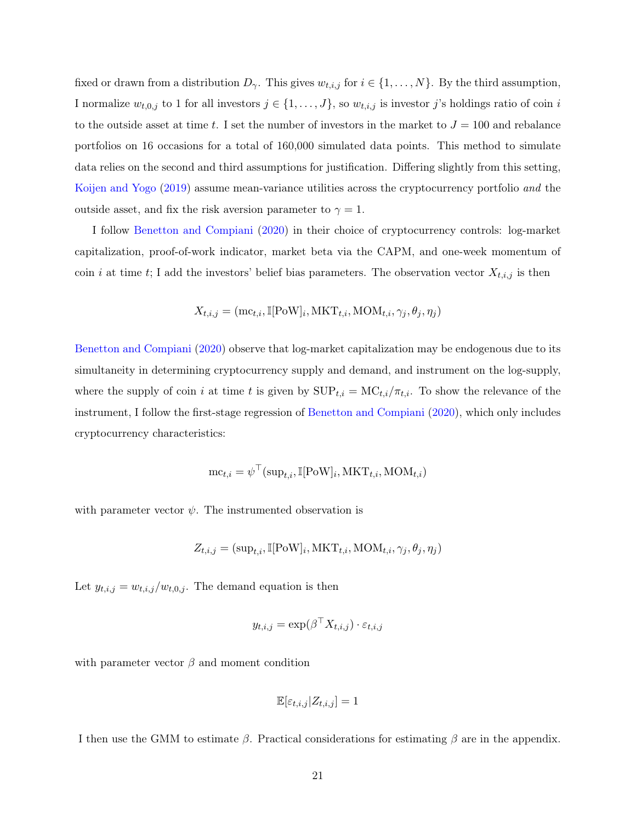fixed or drawn from a distribution  $D_{\gamma}$ . This gives  $w_{t,i,j}$  for  $i \in \{1, \ldots, N\}$ . By the third assumption, I normalize  $w_{t,0,j}$  to 1 for all investors  $j \in \{1,\ldots,J\}$ , so  $w_{t,i,j}$  is investor j's holdings ratio of coin i to the outside asset at time t. I set the number of investors in the market to  $J = 100$  and rebalance portfolios on 16 occasions for a total of 160,000 simulated data points. This method to simulate data relies on the second and third assumptions for justification. Differing slightly from this setting, [Koijen and Yogo](#page-24-10) [\(2019\)](#page-24-10) assume mean-variance utilities across the cryptocurrency portfolio and the outside asset, and fix the risk aversion parameter to  $\gamma = 1$ .

I follow [Benetton and Compiani](#page-24-9) [\(2020\)](#page-24-9) in their choice of cryptocurrency controls: log-market capitalization, proof-of-work indicator, market beta via the CAPM, and one-week momentum of coin i at time t; I add the investors' belief bias parameters. The observation vector  $X_{t,i,j}$  is then

$$
X_{t,i,j} = (\text{mc}_{t,i}, \mathbb{I}[\text{PoW}]_i, \text{MKT}_{t,i}, \text{MOM}_{t,i}, \gamma_j, \theta_j, \eta_j)
$$

[Benetton and Compiani](#page-24-9) [\(2020\)](#page-24-9) observe that log-market capitalization may be endogenous due to its simultaneity in determining cryptocurrency supply and demand, and instrument on the log-supply, where the supply of coin i at time t is given by  $\text{SUP}_{t,i} = \text{MC}_{t,i}/\pi_{t,i}$ . To show the relevance of the instrument, I follow the first-stage regression of [Benetton and Compiani](#page-24-9) [\(2020\)](#page-24-9), which only includes cryptocurrency characteristics:

$$
\text{mc}_{t,i} = \psi^\top(\text{sup}_{t,i}, \mathbb{I}[\text{PoW}]_i, \text{MKT}_{t,i}, \text{MOM}_{t,i})
$$

with parameter vector  $\psi$ . The instrumented observation is

$$
Z_{t,i,j} = (\text{sup}_{t,i}, \mathbb{I}[\text{PoW}]_i, \text{MKT}_{t,i}, \text{MOM}_{t,i}, \gamma_j, \theta_j, \eta_j)
$$

Let  $y_{t,i,j} = w_{t,i,j}/w_{t,0,j}$ . The demand equation is then

$$
y_{t,i,j} = \exp(\beta^\top X_{t,i,j}) \cdot \varepsilon_{t,i,j}
$$

with parameter vector  $\beta$  and moment condition

$$
\mathbb{E}[\varepsilon_{t,i,j}|Z_{t,i,j}] = 1
$$

I then use the GMM to estimate  $\beta$ . Practical considerations for estimating  $\beta$  are in the appendix.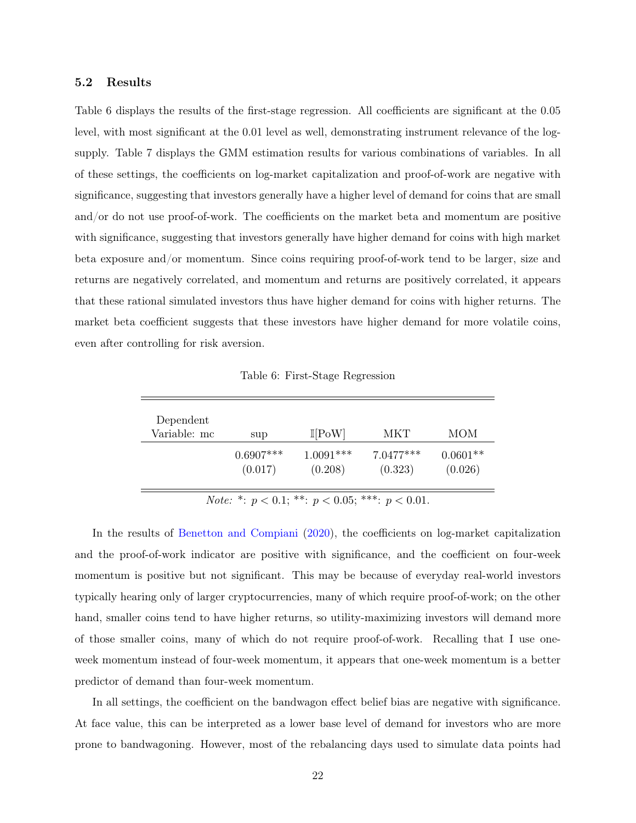#### 5.2 Results

Table 6 displays the results of the first-stage regression. All coefficients are significant at the 0.05 level, with most significant at the 0.01 level as well, demonstrating instrument relevance of the logsupply. Table 7 displays the GMM estimation results for various combinations of variables. In all of these settings, the coefficients on log-market capitalization and proof-of-work are negative with significance, suggesting that investors generally have a higher level of demand for coins that are small and/or do not use proof-of-work. The coefficients on the market beta and momentum are positive with significance, suggesting that investors generally have higher demand for coins with high market beta exposure and/or momentum. Since coins requiring proof-of-work tend to be larger, size and returns are negatively correlated, and momentum and returns are positively correlated, it appears that these rational simulated investors thus have higher demand for coins with higher returns. The market beta coefficient suggests that these investors have higher demand for more volatile coins, even after controlling for risk aversion.

Table 6: First-Stage Regression

| Dependent<br>Variable: mc | sup         | $\mathbb{I}[\text{PoW}]$ | <b>MKT</b>  | MOM        |
|---------------------------|-------------|--------------------------|-------------|------------|
|                           | $0.6907***$ | $1.0091***$              | $7.0477***$ | $0.0601**$ |
|                           | (0.017)     | (0.208)                  | (0.323)     | (0.026)    |

Note: \*:  $p < 0.1$ ; \*\*:  $p < 0.05$ ; \*\*\*:  $p < 0.01$ .

In the results of [Benetton and Compiani](#page-24-9) [\(2020\)](#page-24-9), the coefficients on log-market capitalization and the proof-of-work indicator are positive with significance, and the coefficient on four-week momentum is positive but not significant. This may be because of everyday real-world investors typically hearing only of larger cryptocurrencies, many of which require proof-of-work; on the other hand, smaller coins tend to have higher returns, so utility-maximizing investors will demand more of those smaller coins, many of which do not require proof-of-work. Recalling that I use oneweek momentum instead of four-week momentum, it appears that one-week momentum is a better predictor of demand than four-week momentum.

In all settings, the coefficient on the bandwagon effect belief bias are negative with significance. At face value, this can be interpreted as a lower base level of demand for investors who are more prone to bandwagoning. However, most of the rebalancing days used to simulate data points had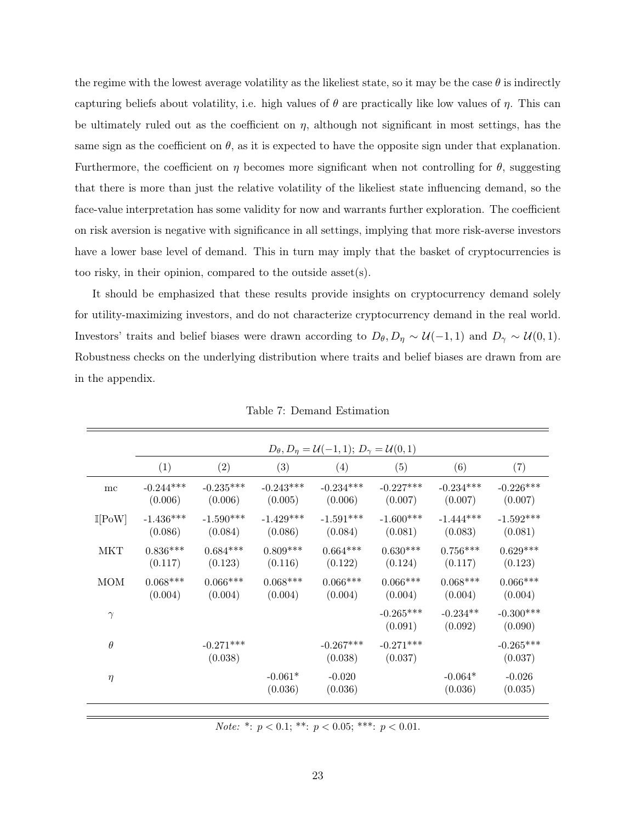the regime with the lowest average volatility as the likeliest state, so it may be the case  $\theta$  is indirectly capturing beliefs about volatility, i.e. high values of  $\theta$  are practically like low values of  $\eta$ . This can be ultimately ruled out as the coefficient on  $\eta$ , although not significant in most settings, has the same sign as the coefficient on  $\theta$ , as it is expected to have the opposite sign under that explanation. Furthermore, the coefficient on  $\eta$  becomes more significant when not controlling for  $\theta$ , suggesting that there is more than just the relative volatility of the likeliest state influencing demand, so the face-value interpretation has some validity for now and warrants further exploration. The coefficient on risk aversion is negative with significance in all settings, implying that more risk-averse investors have a lower base level of demand. This in turn may imply that the basket of cryptocurrencies is too risky, in their opinion, compared to the outside asset(s).

It should be emphasized that these results provide insights on cryptocurrency demand solely for utility-maximizing investors, and do not characterize cryptocurrency demand in the real world. Investors' traits and belief biases were drawn according to  $D_{\theta}, D_{\eta} \sim \mathcal{U}(-1, 1)$  and  $D_{\gamma} \sim \mathcal{U}(0, 1)$ . Robustness checks on the underlying distribution where traits and belief biases are drawn from are in the appendix.

|                          | $D_{\theta}, D_{\eta} = \mathcal{U}(-1, 1); D_{\gamma} = \mathcal{U}(0, 1)$ |                        |                        |                        |                        |                        |                        |
|--------------------------|-----------------------------------------------------------------------------|------------------------|------------------------|------------------------|------------------------|------------------------|------------------------|
|                          | (1)                                                                         | (2)                    | (3)                    | (4)                    | (5)                    | (6)                    | (7)                    |
| mc                       | $-0.244***$<br>(0.006)                                                      | $-0.235***$<br>(0.006) | $-0.243***$<br>(0.005) | $-0.234***$<br>(0.006) | $-0.227***$<br>(0.007) | $-0.234***$<br>(0.007) | $-0.226***$<br>(0.007) |
| $\mathbb{I}[\text{PoW}]$ | $-1.436***$<br>(0.086)                                                      | $-1.590***$<br>(0.084) | $-1.429***$<br>(0.086) | $-1.591***$<br>(0.084) | $-1.600***$<br>(0.081) | $-1.444***$<br>(0.083) | $-1.592***$<br>(0.081) |
| <b>MKT</b>               | $0.836***$<br>(0.117)                                                       | $0.684***$<br>(0.123)  | $0.809***$<br>(0.116)  | $0.664***$<br>(0.122)  | $0.630***$<br>(0.124)  | $0.756***$<br>(0.117)  | $0.629***$<br>(0.123)  |
| <b>MOM</b>               | $0.068***$<br>(0.004)                                                       | $0.066***$<br>(0.004)  | $0.068***$<br>(0.004)  | $0.066***$<br>(0.004)  | $0.066***$<br>(0.004)  | $0.068***$<br>(0.004)  | $0.066***$<br>(0.004)  |
| $\gamma$                 |                                                                             |                        |                        |                        | $-0.265***$<br>(0.091) | $-0.234**$<br>(0.092)  | $-0.300***$<br>(0.090) |
| $\theta$                 |                                                                             | $-0.271***$<br>(0.038) |                        | $-0.267***$<br>(0.038) | $-0.271***$<br>(0.037) |                        | $-0.265***$<br>(0.037) |
| $\eta$                   |                                                                             |                        | $-0.061*$<br>(0.036)   | $-0.020$<br>(0.036)    |                        | $-0.064*$<br>(0.036)   | $-0.026$<br>(0.035)    |

Table 7: Demand Estimation

Note: \*:  $p < 0.1;$  \*\*:  $p < 0.05;$  \*\*\*:  $p < 0.01$ .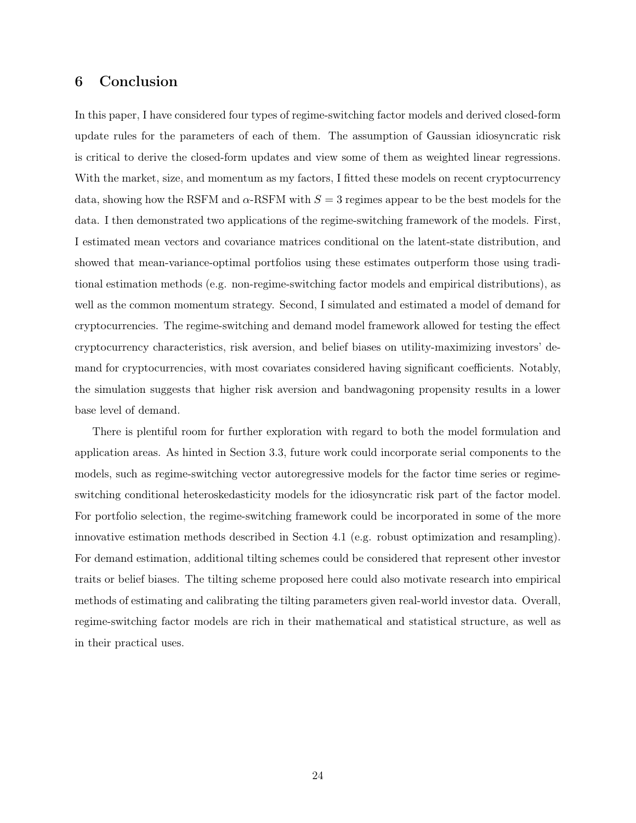# 6 Conclusion

In this paper, I have considered four types of regime-switching factor models and derived closed-form update rules for the parameters of each of them. The assumption of Gaussian idiosyncratic risk is critical to derive the closed-form updates and view some of them as weighted linear regressions. With the market, size, and momentum as my factors, I fitted these models on recent cryptocurrency data, showing how the RSFM and  $\alpha$ -RSFM with  $S = 3$  regimes appear to be the best models for the data. I then demonstrated two applications of the regime-switching framework of the models. First, I estimated mean vectors and covariance matrices conditional on the latent-state distribution, and showed that mean-variance-optimal portfolios using these estimates outperform those using traditional estimation methods (e.g. non-regime-switching factor models and empirical distributions), as well as the common momentum strategy. Second, I simulated and estimated a model of demand for cryptocurrencies. The regime-switching and demand model framework allowed for testing the effect cryptocurrency characteristics, risk aversion, and belief biases on utility-maximizing investors' demand for cryptocurrencies, with most covariates considered having significant coefficients. Notably, the simulation suggests that higher risk aversion and bandwagoning propensity results in a lower base level of demand.

There is plentiful room for further exploration with regard to both the model formulation and application areas. As hinted in Section 3.3, future work could incorporate serial components to the models, such as regime-switching vector autoregressive models for the factor time series or regimeswitching conditional heteroskedasticity models for the idiosyncratic risk part of the factor model. For portfolio selection, the regime-switching framework could be incorporated in some of the more innovative estimation methods described in Section 4.1 (e.g. robust optimization and resampling). For demand estimation, additional tilting schemes could be considered that represent other investor traits or belief biases. The tilting scheme proposed here could also motivate research into empirical methods of estimating and calibrating the tilting parameters given real-world investor data. Overall, regime-switching factor models are rich in their mathematical and statistical structure, as well as in their practical uses.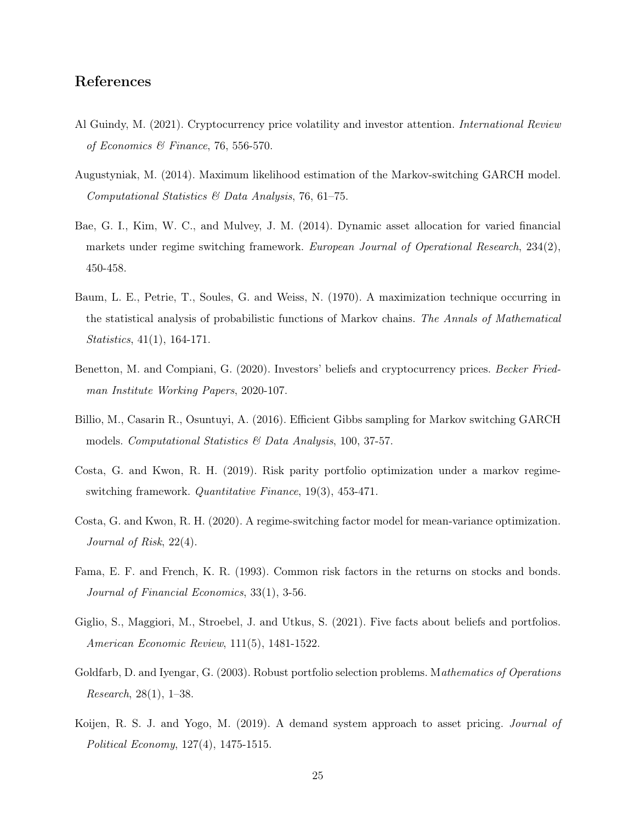# References

- <span id="page-24-11"></span>Al Guindy, M. (2021). Cryptocurrency price volatility and investor attention. International Review of Economics & Finance, 76, 556-570.
- <span id="page-24-0"></span>Augustyniak, M. (2014). Maximum likelihood estimation of the Markov-switching GARCH model. Computational Statistics  $\mathcal B$  Data Analysis, 76, 61–75.
- <span id="page-24-3"></span>Bae, G. I., Kim, W. C., and Mulvey, J. M. (2014). Dynamic asset allocation for varied financial markets under regime switching framework. European Journal of Operational Research, 234(2), 450-458.
- <span id="page-24-6"></span>Baum, L. E., Petrie, T., Soules, G. and Weiss, N. (1970). A maximization technique occurring in the statistical analysis of probabilistic functions of Markov chains. The Annals of Mathematical Statistics, 41(1), 164-171.
- <span id="page-24-9"></span>Benetton, M. and Compiani, G. (2020). Investors' beliefs and cryptocurrency prices. Becker Friedman Institute Working Papers, 2020-107.
- <span id="page-24-1"></span>Billio, M., Casarin R., Osuntuyi, A. (2016). Efficient Gibbs sampling for Markov switching GARCH models. Computational Statistics & Data Analysis, 100, 37-57.
- <span id="page-24-4"></span>Costa, G. and Kwon, R. H. (2019). Risk parity portfolio optimization under a markov regimeswitching framework. Quantitative Finance, 19(3), 453-471.
- <span id="page-24-5"></span>Costa, G. and Kwon, R. H. (2020). A regime-switching factor model for mean-variance optimization. Journal of Risk, 22(4).
- <span id="page-24-2"></span>Fama, E. F. and French, K. R. (1993). Common risk factors in the returns on stocks and bonds. Journal of Financial Economics, 33(1), 3-56.
- <span id="page-24-8"></span>Giglio, S., Maggiori, M., Stroebel, J. and Utkus, S. (2021). Five facts about beliefs and portfolios. American Economic Review, 111(5), 1481-1522.
- <span id="page-24-7"></span>Goldfarb, D. and Iyengar, G. (2003). Robust portfolio selection problems. Mathematics of Operations Research, 28(1), 1–38.
- <span id="page-24-10"></span>Koijen, R. S. J. and Yogo, M. (2019). A demand system approach to asset pricing. Journal of Political Economy, 127(4), 1475-1515.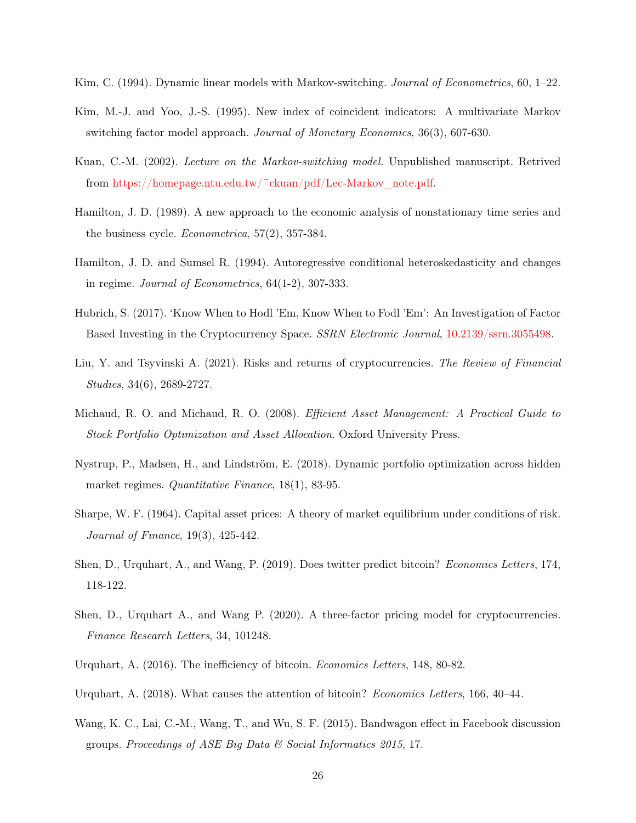- <span id="page-25-13"></span>Kim, C. (1994). Dynamic linear models with Markov-switching. Journal of Econometrics, 60, 1–22.
- <span id="page-25-3"></span>Kim, M.-J. and Yoo, J.-S. (1995). New index of coincident indicators: A multivariate Markov switching factor model approach. Journal of Monetary Economics, 36(3), 607-630.
- <span id="page-25-12"></span>Kuan, C.-M. (2002). Lecture on the Markov-switching model. Unpublished manuscript. Retrived from [https://homepage.ntu.edu.tw/~ckuan/pdf/Lec-Markov\\_note.pdf.](https://homepage.ntu.edu.tw/~ckuan/pdf/Lec-Markov_note.pdf)
- <span id="page-25-0"></span>Hamilton, J. D. (1989). A new approach to the economic analysis of nonstationary time series and the business cycle. Econometrica, 57(2), 357-384.
- <span id="page-25-1"></span>Hamilton, J. D. and Sumsel R. (1994). Autoregressive conditional heteroskedasticity and changes in regime. Journal of Econometrics, 64(1-2), 307-333.
- <span id="page-25-9"></span>Hubrich, S. (2017). 'Know When to Hodl 'Em, Know When to Fodl 'Em': An Investigation of Factor Based Investing in the Cryptocurrency Space. SSRN Electronic Journal, [10.2139/ssrn.3055498.](https://papers.ssrn.com/sol3/papers.cfm?abstract_id=3055498)
- <span id="page-25-5"></span>Liu, Y. and Tsyvinski A. (2021). Risks and returns of cryptocurrencies. The Review of Financial Studies, 34(6), 2689-2727.
- <span id="page-25-11"></span>Michaud, R. O. and Michaud, R. O. (2008). *Efficient Asset Management: A Practical Guide to* Stock Portfolio Optimization and Asset Allocation. Oxford University Press.
- <span id="page-25-4"></span>Nystrup, P., Madsen, H., and Lindström, E. (2018). Dynamic portfolio optimization across hidden market regimes. Quantitative Finance, 18(1), 83-95.
- <span id="page-25-2"></span>Sharpe, W. F. (1964). Capital asset prices: A theory of market equilibrium under conditions of risk. Journal of Finance, 19(3), 425-442.
- <span id="page-25-8"></span>Shen, D., Urquhart, A., and Wang, P. (2019). Does twitter predict bitcoin? Economics Letters, 174, 118-122.
- <span id="page-25-10"></span>Shen, D., Urquhart A., and Wang P. (2020). A three-factor pricing model for cryptocurrencies. Finance Research Letters, 34, 101248.
- <span id="page-25-6"></span>Urquhart, A. (2016). The inefficiency of bitcoin. Economics Letters, 148, 80-82.
- <span id="page-25-7"></span>Urquhart, A. (2018). What causes the attention of bitcoin? Economics Letters, 166, 40–44.
- <span id="page-25-14"></span>Wang, K. C., Lai, C.-M., Wang, T., and Wu, S. F. (2015). Bandwagon effect in Facebook discussion groups. Proceedings of ASE Big Data & Social Informatics 2015, 17.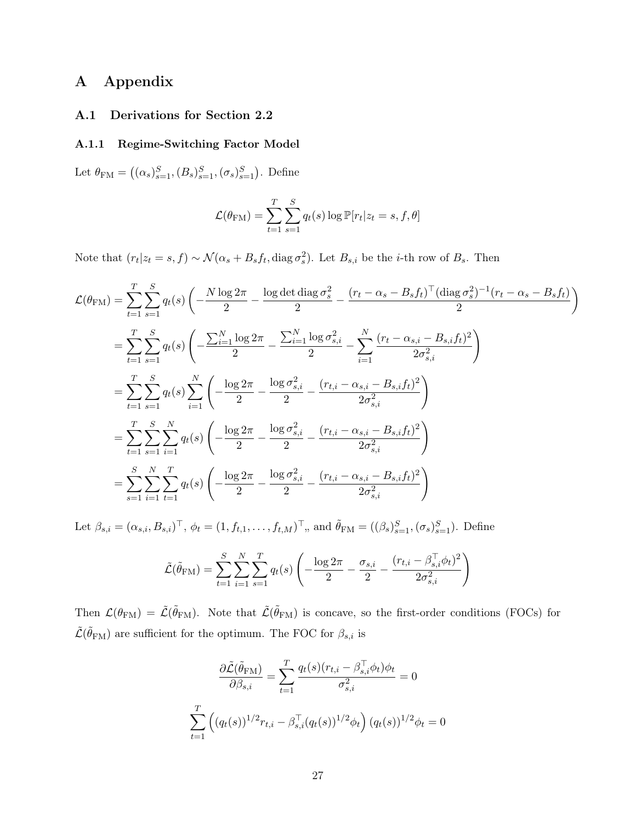# A Appendix

## A.1 Derivations for Section 2.2

### A.1.1 Regime-Switching Factor Model

Let  $\theta_{\text{FM}} = ((\alpha_s)_{s=1}^S, (B_s)_{s=1}^S, (\sigma_s)_{s=1}^S)$ . Define

$$
\mathcal{L}(\theta_{\text{FM}}) = \sum_{t=1}^{T} \sum_{s=1}^{S} q_t(s) \log \mathbb{P}[r_t | z_t = s, f, \theta]
$$

Note that  $(r_t|z_t = s, f) \sim \mathcal{N}(\alpha_s + B_s f_t, \text{diag}\,\sigma_s^2)$ . Let  $B_{s,i}$  be the *i*-th row of  $B_s$ . Then

$$
\mathcal{L}(\theta_{FM}) = \sum_{t=1}^{T} \sum_{s=1}^{S} q_t(s) \left( -\frac{N \log 2\pi}{2} - \frac{\log \det \text{diag } \sigma_s^2}{2} - \frac{(r_t - \alpha_s - B_s f_t)^{\top} (\text{diag } \sigma_s^2)^{-1} (r_t - \alpha_s - B_s f_t)}{2} \right)
$$
\n
$$
= \sum_{t=1}^{T} \sum_{s=1}^{S} q_t(s) \left( -\frac{\sum_{i=1}^{N} \log 2\pi}{2} - \frac{\sum_{i=1}^{N} \log \sigma_{s,i}^2}{2} - \sum_{i=1}^{N} \frac{(r_t - \alpha_{s,i} - B_{s,i} f_t)^2}{2\sigma_{s,i}^2} \right)
$$
\n
$$
= \sum_{t=1}^{T} \sum_{s=1}^{S} q_t(s) \sum_{i=1}^{N} \left( -\frac{\log 2\pi}{2} - \frac{\log \sigma_{s,i}^2}{2} - \frac{(r_{t,i} - \alpha_{s,i} - B_{s,i} f_t)^2}{2\sigma_{s,i}^2} \right)
$$
\n
$$
= \sum_{t=1}^{T} \sum_{s=1}^{S} \sum_{i=1}^{N} q_t(s) \left( -\frac{\log 2\pi}{2} - \frac{\log \sigma_{s,i}^2}{2} - \frac{(r_{t,i} - \alpha_{s,i} - B_{s,i} f_t)^2}{2\sigma_{s,i}^2} \right)
$$
\n
$$
= \sum_{s=1}^{S} \sum_{i=1}^{N} \sum_{t=1}^{T} q_t(s) \left( -\frac{\log 2\pi}{2} - \frac{\log \sigma_{s,i}^2}{2} - \frac{(r_{t,i} - \alpha_{s,i} - B_{s,i} f_t)^2}{2\sigma_{s,i}^2} \right)
$$

Let  $\beta_{s,i} = (\alpha_{s,i}, B_{s,i})^{\top}, \phi_t = (1, f_{t,1}, \dots, f_{t,M})^{\top},$  and  $\tilde{\theta}_{FM} = ((\beta_s)_{s=1}^S, (\sigma_s)_{s=1}^S)$ . Define

$$
\tilde{\mathcal{L}}(\tilde{\theta}_{\mathrm{FM}}) = \sum_{t=1}^{S} \sum_{i=1}^{N} \sum_{s=1}^{T} q_t(s) \left( -\frac{\log 2\pi}{2} - \frac{\sigma_{s,i}}{2} - \frac{(r_{t,i} - \beta_{s,i}^{\mathrm{T}} \phi_t)^2}{2\sigma_{s,i}^2} \right)
$$

Then  $\mathcal{L}(\theta_{\text{FM}}) = \tilde{\mathcal{L}}(\tilde{\theta}_{\text{FM}})$ . Note that  $\tilde{\mathcal{L}}(\tilde{\theta}_{\text{FM}})$  is concave, so the first-order conditions (FOCs) for  $\tilde{\mathcal{L}}(\tilde{\theta}_{\text{FM}})$  are sufficient for the optimum. The FOC for  $\beta_{s,i}$  is

$$
\frac{\partial \tilde{\mathcal{L}}(\tilde{\theta}_{\text{FM}})}{\partial \beta_{s,i}} = \sum_{t=1}^{T} \frac{q_t(s)(r_{t,i} - \beta_{s,i}^{\top} \phi_t) \phi_t}{\sigma_{s,i}^2} = 0
$$

$$
\sum_{t=1}^{T} \left( (q_t(s))^{1/2} r_{t,i} - \beta_{s,i}^{\top} (q_t(s))^{1/2} \phi_t \right) (q_t(s))^{1/2} \phi_t = 0
$$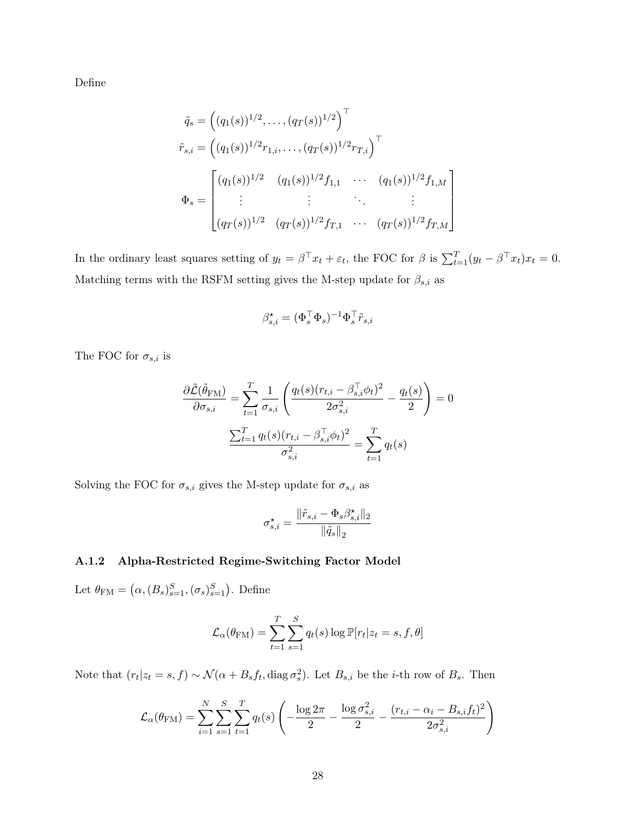Define

$$
\tilde{q}_s = ((q_1(s))^{1/2}, \dots, (q_T(s))^{1/2})^{\top}
$$
\n
$$
\tilde{r}_{s,i} = ((q_1(s))^{1/2} r_{1,i}, \dots, (q_T(s))^{1/2} r_{T,i})^{\top}
$$
\n
$$
\Phi_s = \begin{bmatrix}\n(q_1(s))^{1/2} & (q_1(s))^{1/2} f_{1,1} & \cdots & (q_1(s))^{1/2} f_{1,M} \\
\vdots & \vdots & \ddots & \vdots \\
(q_T(s))^{1/2} & (q_T(s))^{1/2} f_{T,1} & \cdots & (q_T(s))^{1/2} f_{T,M}\n\end{bmatrix}
$$

1  $\mathbf{I}$  $\vert$  $\vert$  $\vert$ 

In the ordinary least squares setting of  $y_t = \beta^\top x_t + \varepsilon_t$ , the FOC for  $\beta$  is  $\sum_{t=1}^T (y_t - \beta^\top x_t) x_t = 0$ . Matching terms with the RSFM setting gives the M-step update for  $\beta_{s,i}$  as

$$
\beta^\star_{s,i} = (\Phi_s^\top \Phi_s)^{-1} \Phi_s^\top \tilde{r}_{s,i}
$$

The FOC for  $\sigma_{s,i}$  is

$$
\frac{\partial \tilde{\mathcal{L}}(\tilde{\theta}_{\text{FM}})}{\partial \sigma_{s,i}} = \sum_{t=1}^{T} \frac{1}{\sigma_{s,i}} \left( \frac{q_t(s)(r_{t,i} - \beta_{s,i}^\top \phi_t)^2}{2\sigma_{s,i}^2} - \frac{q_t(s)}{2} \right) = 0
$$

$$
\frac{\sum_{t=1}^{T} q_t(s)(r_{t,i} - \beta_{s,i}^\top \phi_t)^2}{\sigma_{s,i}^2} = \sum_{t=1}^{T} q_t(s)
$$

Solving the FOC for  $\sigma_{s,i}$  gives the M-step update for  $\sigma_{s,i}$  as

$$
\sigma_{s,i}^{\star} = \frac{\|\tilde{r}_{s,i} - \Phi_s\beta_{s,i}^{\star}\|_2}{\|\tilde{q}_s\|_2}
$$

## A.1.2 Alpha-Restricted Regime-Switching Factor Model

Let  $\theta_{\text{FM}} = (\alpha, (B_s)_{s=1}^S, (\sigma_s)_{s=1}^S)$ . Define

$$
\mathcal{L}_{\alpha}(\theta_{\text{FM}}) = \sum_{t=1}^{T} \sum_{s=1}^{S} q_t(s) \log \mathbb{P}[r_t | z_t = s, f, \theta]
$$

Note that  $(r_t|z_t = s, f) \sim \mathcal{N}(\alpha + B_s f_t, \text{diag} \sigma_s^2)$ . Let  $B_{s,i}$  be the *i*-th row of  $B_s$ . Then

$$
\mathcal{L}_{\alpha}(\theta_{\rm FM}) = \sum_{i=1}^{N} \sum_{s=1}^{S} \sum_{t=1}^{T} q_t(s) \left( -\frac{\log 2\pi}{2} - \frac{\log \sigma_{s,i}^2}{2} - \frac{(r_{t,i} - \alpha_i - B_{s,i}f_t)^2}{2\sigma_{s,i}^2} \right)
$$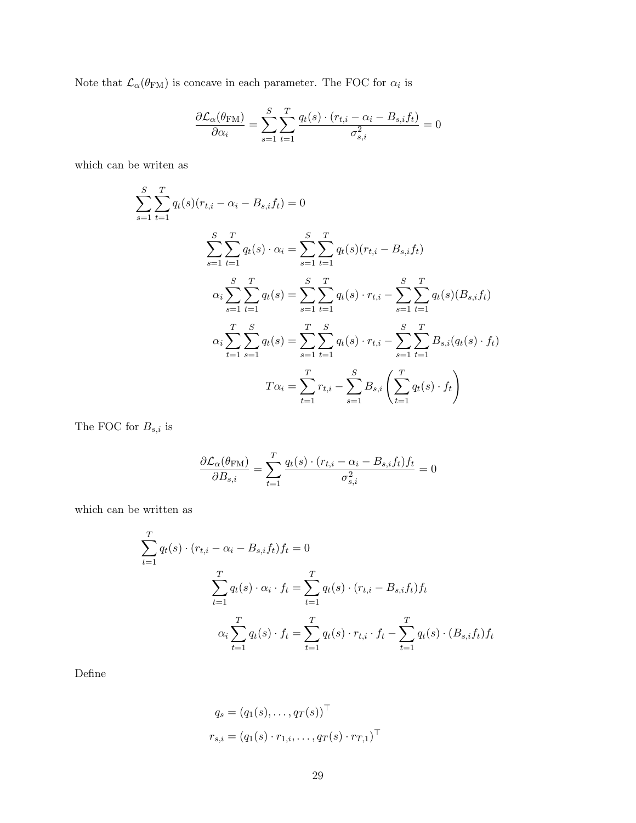Note that  $\mathcal{L}_{\alpha}(\theta_{\text{FM}})$  is concave in each parameter. The FOC for  $\alpha_i$  is

$$
\frac{\partial \mathcal{L}_{\alpha}(\theta_{\text{FM}})}{\partial \alpha_i} = \sum_{s=1}^{S} \sum_{t=1}^{T} \frac{q_t(s) \cdot (r_{t,i} - \alpha_i - B_{s,i} f_t)}{\sigma_{s,i}^2} = 0
$$

which can be writen as

$$
\sum_{s=1}^{S} \sum_{t=1}^{T} q_t(s)(r_{t,i} - \alpha_i - B_{s,i}f_t) = 0
$$
\n
$$
\sum_{s=1}^{S} \sum_{t=1}^{T} q_t(s) \cdot \alpha_i = \sum_{s=1}^{S} \sum_{t=1}^{T} q_t(s)(r_{t,i} - B_{s,i}f_t)
$$
\n
$$
\alpha_i \sum_{s=1}^{S} \sum_{t=1}^{T} q_t(s) = \sum_{s=1}^{S} \sum_{t=1}^{T} q_t(s) \cdot r_{t,i} - \sum_{s=1}^{S} \sum_{t=1}^{T} q_t(s)(B_{s,i}f_t)
$$
\n
$$
\alpha_i \sum_{t=1}^{T} \sum_{s=1}^{S} q_t(s) = \sum_{s=1}^{T} \sum_{t=1}^{S} q_t(s) \cdot r_{t,i} - \sum_{s=1}^{S} \sum_{t=1}^{T} B_{s,i}(q_t(s) \cdot f_t)
$$
\n
$$
T\alpha_i = \sum_{t=1}^{T} r_{t,i} - \sum_{s=1}^{S} B_{s,i} \left( \sum_{t=1}^{T} q_t(s) \cdot f_t \right)
$$

The FOC for  ${\cal B}_{s,i}$  is

$$
\frac{\partial \mathcal{L}_{\alpha}(\theta_{\text{FM}})}{\partial B_{s,i}} = \sum_{t=1}^{T} \frac{q_t(s) \cdot (r_{t,i} - \alpha_i - B_{s,i}f_t) f_t}{\sigma_{s,i}^2} = 0
$$

which can be written as

$$
\sum_{t=1}^{T} q_t(s) \cdot (r_{t,i} - \alpha_i - B_{s,i}f_t) f_t = 0
$$
\n
$$
\sum_{t=1}^{T} q_t(s) \cdot \alpha_i \cdot f_t = \sum_{t=1}^{T} q_t(s) \cdot (r_{t,i} - B_{s,i}f_t) f_t
$$
\n
$$
\alpha_i \sum_{t=1}^{T} q_t(s) \cdot f_t = \sum_{t=1}^{T} q_t(s) \cdot r_{t,i} \cdot f_t - \sum_{t=1}^{T} q_t(s) \cdot (B_{s,i}f_t) f_t
$$

Define

$$
q_s = (q_1(s), \dots, q_T(s))^{\top}
$$
  
 $r_{s,i} = (q_1(s) \cdot r_{1,i}, \dots, q_T(s) \cdot r_{T,1})^{\top}$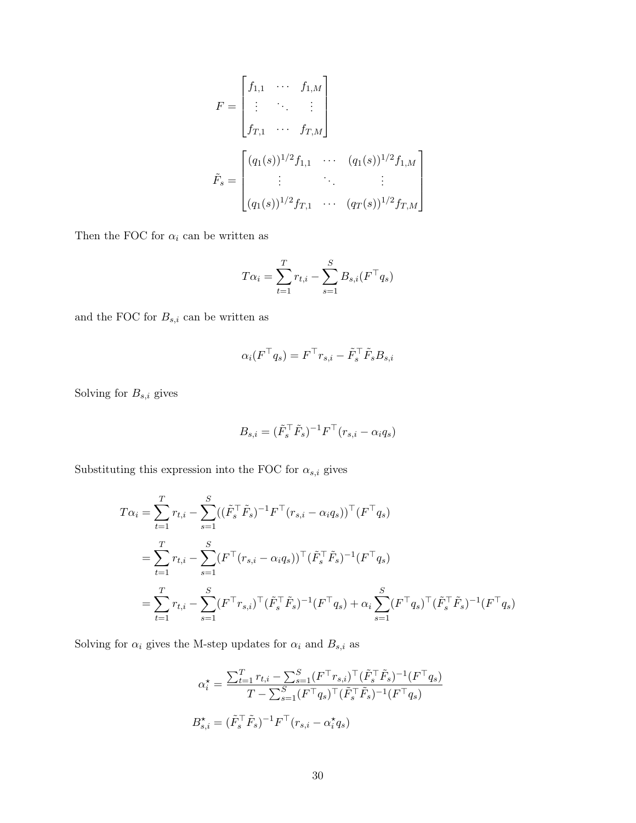$$
F = \begin{bmatrix} f_{1,1} & \cdots & f_{1,M} \\ \vdots & \ddots & \vdots \\ f_{T,1} & \cdots & f_{T,M} \end{bmatrix}
$$

$$
\tilde{F}_s = \begin{bmatrix} (q_1(s))^{1/2} f_{1,1} & \cdots & (q_1(s))^{1/2} f_{1,M} \\ \vdots & \ddots & \vdots \\ (q_1(s))^{1/2} f_{T,1} & \cdots & (q_T(s))^{1/2} f_{T,M} \end{bmatrix}
$$

Then the FOC for  $\alpha_i$  can be written as

$$
T\alpha_i = \sum_{t=1}^{T} r_{t,i} - \sum_{s=1}^{S} B_{s,i}(F^{\top}q_s)
$$

and the FOC for  $B_{s,i}$  can be written as

$$
\alpha_i (F^{\top} q_s) = F^{\top} r_{s,i} - \tilde{F}_s^{\top} \tilde{F}_s B_{s,i}
$$

Solving for  $B_{s,i}$  gives

$$
B_{s,i} = (\tilde{F}_s^\top \tilde{F}_s)^{-1} F^\top (r_{s,i} - \alpha_i q_s)
$$

Substituting this expression into the FOC for  $\alpha_{s,i}$  gives

$$
T\alpha_i = \sum_{t=1}^T r_{t,i} - \sum_{s=1}^S ((\tilde{F}_s^\top \tilde{F}_s)^{-1} F^\top (r_{s,i} - \alpha_i q_s))^\top (F^\top q_s)
$$
  
= 
$$
\sum_{t=1}^T r_{t,i} - \sum_{s=1}^S (F^\top (r_{s,i} - \alpha_i q_s))^\top (\tilde{F}_s^\top \tilde{F}_s)^{-1} (F^\top q_s)
$$
  
= 
$$
\sum_{t=1}^T r_{t,i} - \sum_{s=1}^S (F^\top r_{s,i})^\top (\tilde{F}_s^\top \tilde{F}_s)^{-1} (F^\top q_s) + \alpha_i \sum_{s=1}^S (F^\top q_s)^\top (\tilde{F}_s^\top \tilde{F}_s)^{-1} (F^\top q_s)
$$

Solving for  $\alpha_i$  gives the M-step updates for  $\alpha_i$  and  $B_{s,i}$  as

$$
\alpha_i^* = \frac{\sum_{t=1}^T r_{t,i} - \sum_{s=1}^S (F^\top r_{s,i})^\top (\tilde{F}_s^\top \tilde{F}_s)^{-1} (F^\top q_s)}{T - \sum_{s=1}^S (F^\top q_s)^\top (\tilde{F}_s^\top \tilde{F}_s)^{-1} (F^\top q_s)}
$$

$$
B_{s,i}^* = (\tilde{F}_s^\top \tilde{F}_s)^{-1} F^\top (r_{s,i} - \alpha_i^* q_s)
$$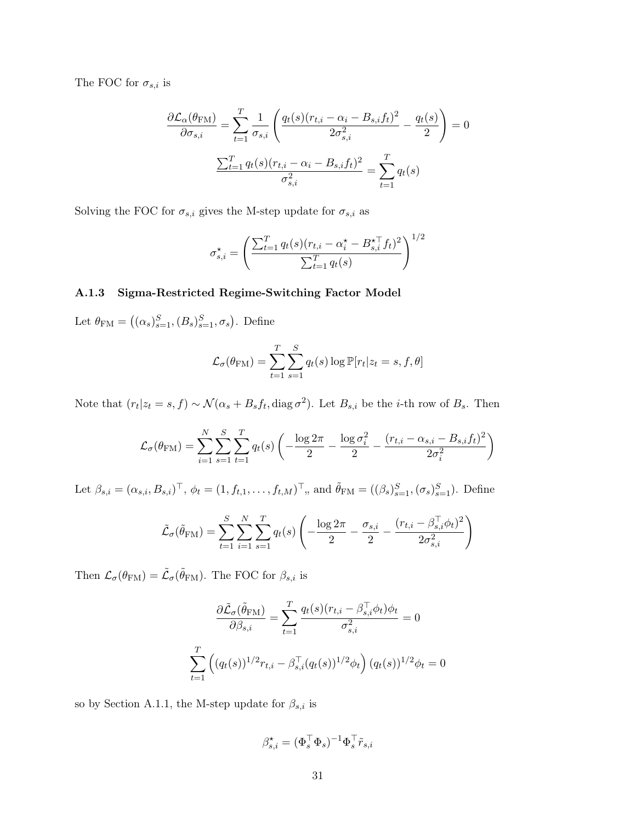The FOC for  $\sigma_{s,i}$  is

$$
\frac{\partial \mathcal{L}_{\alpha}(\theta_{\text{FM}})}{\partial \sigma_{s,i}} = \sum_{t=1}^{T} \frac{1}{\sigma_{s,i}} \left( \frac{q_t(s)(r_{t,i} - \alpha_i - B_{s,i}f_t)^2}{2\sigma_{s,i}^2} - \frac{q_t(s)}{2} \right) = 0
$$

$$
\frac{\sum_{t=1}^{T} q_t(s)(r_{t,i} - \alpha_i - B_{s,i}f_t)^2}{\sigma_{s,i}^2} = \sum_{t=1}^{T} q_t(s)
$$

Solving the FOC for  $\sigma_{s,i}$  gives the M-step update for  $\sigma_{s,i}$  as

$$
\sigma_{s,i}^{\star} = \left(\frac{\sum_{t=1}^{T} q_t(s)(r_{t,i} - \alpha_i^{\star} - B_{s,i}^{\star \top} f_t)^2}{\sum_{t=1}^{T} q_t(s)}\right)^{1/2}
$$

#### A.1.3 Sigma-Restricted Regime-Switching Factor Model

Let  $\theta_{\text{FM}} = ((\alpha_s)_{s=1}^S, (B_s)_{s=1}^S, \sigma_s)$ . Define

$$
\mathcal{L}_{\sigma}(\theta_{\text{FM}}) = \sum_{t=1}^{T} \sum_{s=1}^{S} q_t(s) \log \mathbb{P}[r_t | z_t = s, f, \theta]
$$

Note that  $(r_t|z_t = s, f) \sim \mathcal{N}(\alpha_s + B_s f_t, \text{diag}\,\sigma^2)$ . Let  $B_{s,i}$  be the *i*-th row of  $B_s$ . Then

$$
\mathcal{L}_{\sigma}(\theta_{\text{FM}}) = \sum_{i=1}^{N} \sum_{s=1}^{S} \sum_{t=1}^{T} q_t(s) \left( -\frac{\log 2\pi}{2} - \frac{\log \sigma_i^2}{2} - \frac{(r_{t,i} - \alpha_{s,i} - B_{s,i}f_t)^2}{2\sigma_i^2} \right)
$$

Let  $\beta_{s,i} = (\alpha_{s,i}, B_{s,i})^{\top}, \phi_t = (1, f_{t,1}, \dots, f_{t,M})^{\top}, \text{ and } \tilde{\theta}_{\text{FM}} = ((\beta_s)_{s=1}^S, (\sigma_s)_{s=1}^S)$ . Define

$$
\tilde{\mathcal{L}}_{\sigma}(\tilde{\theta}_{\text{FM}}) = \sum_{t=1}^{S} \sum_{i=1}^{N} \sum_{s=1}^{T} q_t(s) \left( -\frac{\log 2\pi}{2} - \frac{\sigma_{s,i}}{2} - \frac{(r_{t,i} - \beta_{s,i}^{\top} \phi_t)^2}{2\sigma_{s,i}^2} \right)
$$

Then  $\mathcal{L}_{\sigma}(\theta_{\text{FM}}) = \tilde{\mathcal{L}}_{\sigma}(\tilde{\theta}_{\text{FM}})$ . The FOC for  $\beta_{s,i}$  is

$$
\frac{\partial \tilde{\mathcal{L}}_{\sigma}(\tilde{\theta}_{\text{FM}})}{\partial \beta_{s,i}} = \sum_{t=1}^{T} \frac{q_t(s)(r_{t,i} - \beta_{s,i}^{\top} \phi_t) \phi_t}{\sigma_{s,i}^2} = 0
$$
  

$$
\sum_{t=1}^{T} \left( (q_t(s))^{1/2} r_{t,i} - \beta_{s,i}^{\top} (q_t(s))^{1/2} \phi_t \right) (q_t(s))^{1/2} \phi_t = 0
$$

so by Section A.1.1, the M-step update for  $\beta_{s,i}$  is

$$
\beta^\star_{s,i} = (\Phi_s^\top \Phi_s)^{-1} \Phi_s^\top \tilde{r}_{s,i}
$$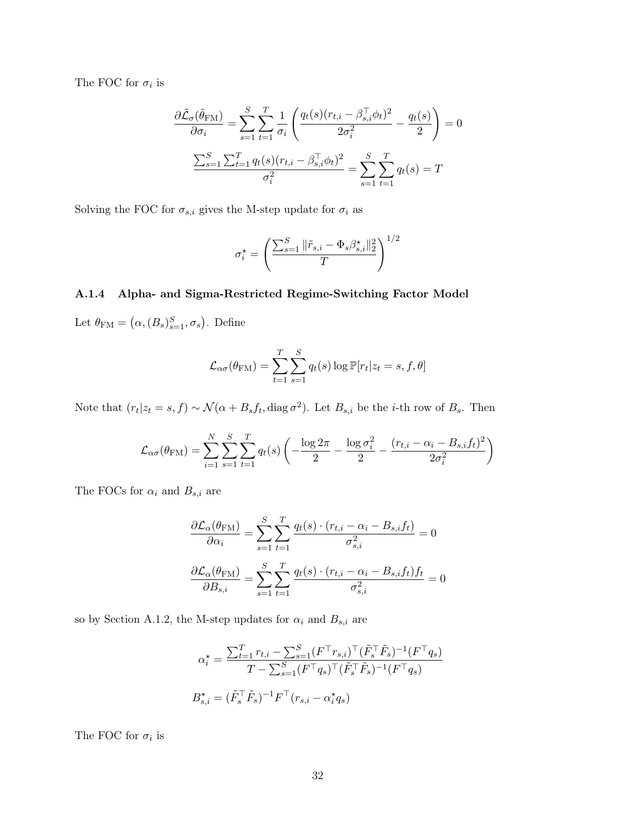The FOC for  $\sigma_i$  is

$$
\frac{\partial \tilde{\mathcal{L}}_{\sigma}(\tilde{\theta}_{FM})}{\partial \sigma_{i}} = \sum_{s=1}^{S} \sum_{t=1}^{T} \frac{1}{\sigma_{i}} \left( \frac{q_{t}(s)(r_{t,i} - \beta_{s,i}^{T} \phi_{t})^{2}}{2\sigma_{i}^{2}} - \frac{q_{t}(s)}{2} \right) = 0
$$

$$
\frac{\sum_{s=1}^{S} \sum_{t=1}^{T} q_{t}(s)(r_{t,i} - \beta_{s,i}^{T} \phi_{t})^{2}}{\sigma_{i}^{2}} = \sum_{s=1}^{S} \sum_{t=1}^{T} q_{t}(s) = T
$$

Solving the FOC for  $\sigma_{s,i}$  gives the M-step update for  $\sigma_i$  as

$$
\sigma_i^\star = \left(\frac{\sum_{s=1}^S \|\tilde{r}_{s,i} - \Phi_s\beta_{s,i}^\star\|_2^2}{T}\right)^{1/2}
$$

#### A.1.4 Alpha- and Sigma-Restricted Regime-Switching Factor Model

Let  $\theta_{\text{FM}} = (\alpha, (B_s)_{s=1}^S, \sigma_s)$ . Define

$$
\mathcal{L}_{\alpha\sigma}(\theta_{\rm FM}) = \sum_{t=1}^{T} \sum_{s=1}^{S} q_t(s) \log \mathbb{P}[r_t | z_t = s, f, \theta]
$$

Note that  $(r_t|z_t = s, f) \sim \mathcal{N}(\alpha + B_s f_t, \text{diag} \sigma^2)$ . Let  $B_{s,i}$  be the *i*-th row of  $B_s$ . Then

$$
\mathcal{L}_{\alpha\sigma}(\theta_{\rm FM}) = \sum_{i=1}^{N} \sum_{s=1}^{S} \sum_{t=1}^{T} q_t(s) \left( -\frac{\log 2\pi}{2} - \frac{\log \sigma_i^2}{2} - \frac{(r_{t,i} - \alpha_i - B_{s,i}f_t)^2}{2\sigma_i^2} \right)
$$

The FOCs for  $\alpha_i$  and  $B_{s,i}$  are

$$
\frac{\partial \mathcal{L}_{\alpha}(\theta_{\text{FM}})}{\partial \alpha_{i}} = \sum_{s=1}^{S} \sum_{t=1}^{T} \frac{q_{t}(s) \cdot (r_{t,i} - \alpha_{i} - B_{s,i}f_{t})}{\sigma_{s,i}^{2}} = 0
$$

$$
\frac{\partial \mathcal{L}_{\alpha}(\theta_{\text{FM}})}{\partial B_{s,i}} = \sum_{s=1}^{S} \sum_{t=1}^{T} \frac{q_{t}(s) \cdot (r_{t,i} - \alpha_{i} - B_{s,i}f_{t})f_{t}}{\sigma_{s,i}^{2}} = 0
$$

so by Section A.1.2, the M-step updates for  $\alpha_i$  and  $B_{s,i}$  are

$$
\alpha_i^* = \frac{\sum_{t=1}^T r_{t,i} - \sum_{s=1}^S (F^\top r_{s,i})^\top (\tilde{F}_s^\top \tilde{F}_s)^{-1} (F^\top q_s)}{T - \sum_{s=1}^S (F^\top q_s)^\top (\tilde{F}_s^\top \tilde{F}_s)^{-1} (F^\top q_s)}
$$

$$
B_{s,i}^\star = (\tilde{F}_s^\top \tilde{F}_s)^{-1} F^\top (r_{s,i} - \alpha_i^* q_s)
$$

The FOC for  $\sigma_i$  is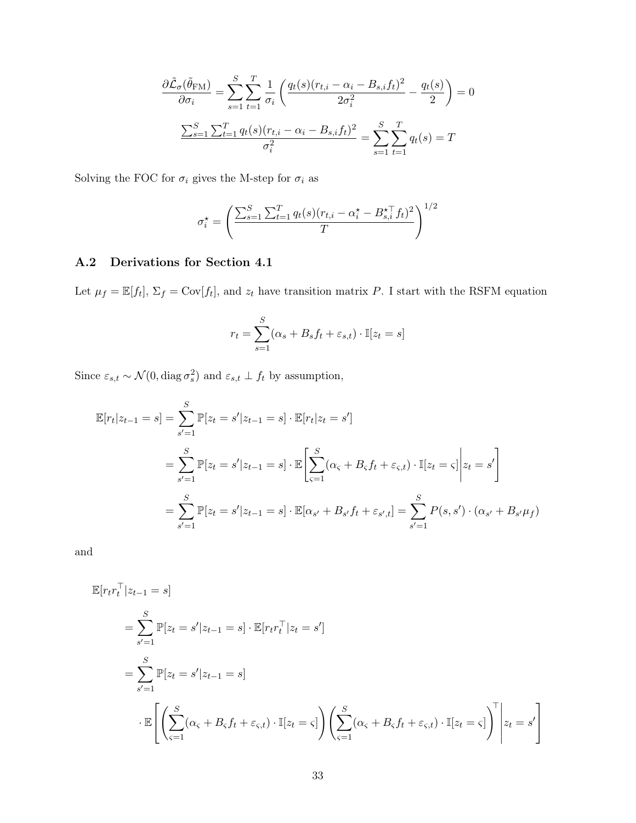$$
\frac{\partial \tilde{\mathcal{L}}_{\sigma}(\tilde{\theta}_{FM})}{\partial \sigma_i} = \sum_{s=1}^{S} \sum_{t=1}^{T} \frac{1}{\sigma_i} \left( \frac{q_t(s)(r_{t,i} - \alpha_i - B_{s,i}f_t)^2}{2\sigma_i^2} - \frac{q_t(s)}{2} \right) = 0
$$

$$
\frac{\sum_{s=1}^{S} \sum_{t=1}^{T} q_t(s)(r_{t,i} - \alpha_i - B_{s,i}f_t)^2}{\sigma_i^2} = \sum_{s=1}^{S} \sum_{t=1}^{T} q_t(s) = T
$$

Solving the FOC for  $\sigma_i$  gives the M-step for  $\sigma_i$  as

$$
\sigma_i^{\star} = \left(\frac{\sum_{s=1}^{S} \sum_{t=1}^{T} q_t(s)(r_{t,i} - \alpha_i^{\star} - B_{s,i}^{\star \top} f_t)^2}{T}\right)^{1/2}
$$

# A.2 Derivations for Section 4.1

Let  $\mu_f = \mathbb{E}[f_t], \Sigma_f = \text{Cov}[f_t],$  and  $z_t$  have transition matrix P. I start with the RSFM equation

$$
r_t = \sum_{s=1}^{S} (\alpha_s + B_s f_t + \varepsilon_{s,t}) \cdot \mathbb{I}[z_t = s]
$$

Since  $\varepsilon_{s,t} \sim \mathcal{N}(0, \text{diag}\,\sigma_s^2)$  and  $\varepsilon_{s,t} \perp f_t$  by assumption,

$$
\mathbb{E}[r_t|z_{t-1} = s] = \sum_{s'=1}^{S} \mathbb{P}[z_t = s'|z_{t-1} = s] \cdot \mathbb{E}[r_t|z_t = s']
$$
  
= 
$$
\sum_{s'=1}^{S} \mathbb{P}[z_t = s'|z_{t-1} = s] \cdot \mathbb{E}\left[\sum_{s=1}^{S} (\alpha_s + B_s f_t + \varepsilon_{s,t}) \cdot \mathbb{I}[z_t = s]\middle| z_t = s'\right]
$$
  
= 
$$
\sum_{s'=1}^{S} \mathbb{P}[z_t = s'|z_{t-1} = s] \cdot \mathbb{E}[\alpha_{s'} + B_{s'} f_t + \varepsilon_{s',t}] = \sum_{s'=1}^{S} P(s, s') \cdot (\alpha_{s'} + B_{s'} \mu_f)
$$

and

$$
\mathbb{E}[r_t r_t^\top | z_{t-1} = s]
$$
\n
$$
= \sum_{s'=1}^S \mathbb{P}[z_t = s' | z_{t-1} = s] \cdot \mathbb{E}[r_t r_t^\top | z_t = s']
$$
\n
$$
= \sum_{s'=1}^S \mathbb{P}[z_t = s' | z_{t-1} = s]
$$
\n
$$
\cdot \mathbb{E}\left[\left(\sum_{s=1}^S (\alpha_s + B_s f_t + \varepsilon_{s,t}) \cdot \mathbb{I}[z_t = s]\right) \left(\sum_{s=1}^S (\alpha_s + B_s f_t + \varepsilon_{s,t}) \cdot \mathbb{I}[z_t = s]\right)^\top \middle| z_t = s'\right]
$$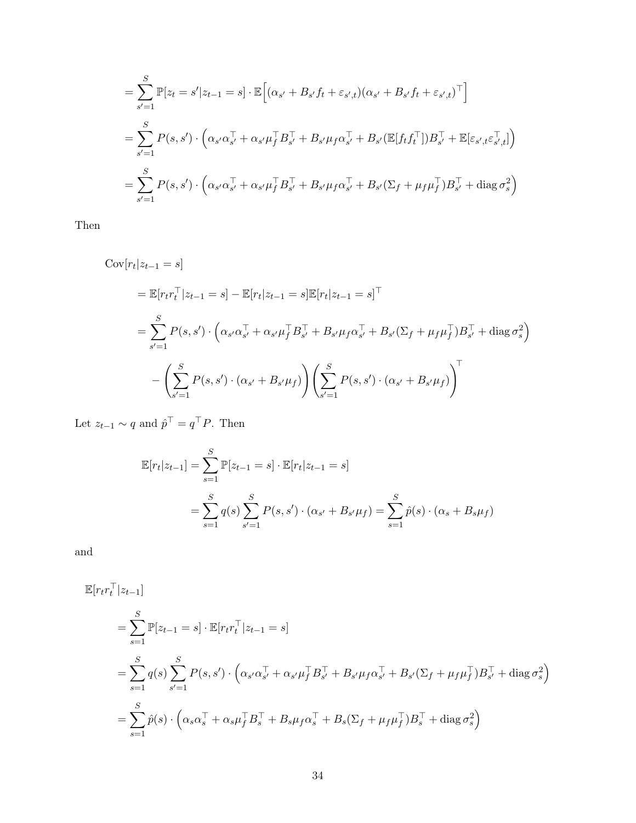$$
= \sum_{s'=1}^{S} \mathbb{P}[z_t = s' | z_{t-1} = s] \cdot \mathbb{E}\Big[ (\alpha_{s'} + B_{s'}f_t + \varepsilon_{s',t})(\alpha_{s'} + B_{s'}f_t + \varepsilon_{s',t})^\top \Big] = \sum_{s'=1}^{S} P(s, s') \cdot \Big( \alpha_{s'} \alpha_{s'}^\top + \alpha_{s'} \mu_f^\top B_{s'}^\top + B_{s'} \mu_f \alpha_{s'}^\top + B_{s'} (\mathbb{E}[f_t f_t^\top]) B_{s'}^\top + \mathbb{E}[\varepsilon_{s',t} \varepsilon_{s',t}^\top] \Big) = \sum_{s'=1}^{S} P(s, s') \cdot \Big( \alpha_{s'} \alpha_{s'}^\top + \alpha_{s'} \mu_f^\top B_{s'}^\top + B_{s'} \mu_f \alpha_{s'}^\top + B_{s'} (\Sigma_f + \mu_f \mu_f^\top) B_{s'}^\top + \text{diag} \sigma_s^2 \Big)
$$

Then

$$
\begin{split} \text{Cov}[r_t|z_{t-1} = s] \\ &= \mathbb{E}[r_t r_t^\top | z_{t-1} = s] - \mathbb{E}[r_t | z_{t-1} = s] \mathbb{E}[r_t | z_{t-1} = s]^\top \\ &= \sum_{s'=1}^S P(s, s') \cdot \left(\alpha_{s'} \alpha_{s'}^\top + \alpha_{s'} \mu_f^\top B_{s'}^\top + B_{s'} \mu_f \alpha_{s'}^\top + B_{s'} (\Sigma_f + \mu_f \mu_f^\top) B_{s'}^\top + \text{diag} \sigma_s^2\right) \\ &- \left(\sum_{s'=1}^S P(s, s') \cdot (\alpha_{s'} + B_{s'} \mu_f)\right) \left(\sum_{s'=1}^S P(s, s') \cdot (\alpha_{s'} + B_{s'} \mu_f)\right)^\top \end{split}
$$

Let  $z_{t-1} \sim q$  and  $\hat{p}^{\top} = q^{\top} P$ . Then

$$
\mathbb{E}[r_t|z_{t-1}] = \sum_{s=1}^{S} \mathbb{P}[z_{t-1} = s] \cdot \mathbb{E}[r_t|z_{t-1} = s]
$$
  
= 
$$
\sum_{s=1}^{S} q(s) \sum_{s'=1}^{S} P(s, s') \cdot (\alpha_{s'} + B_{s'}\mu_f) = \sum_{s=1}^{S} \hat{p}(s) \cdot (\alpha_s + B_{s}\mu_f)
$$

and

$$
\mathbb{E}[r_t r_t^{\top} | z_{t-1}]
$$
\n
$$
= \sum_{s=1}^{S} \mathbb{P}[z_{t-1} = s] \cdot \mathbb{E}[r_t r_t^{\top} | z_{t-1} = s]
$$
\n
$$
= \sum_{s=1}^{S} q(s) \sum_{s'=1}^{S} P(s, s') \cdot \left(\alpha_{s'} \alpha_{s'}^{\top} + \alpha_{s'} \mu_f^{\top} B_{s'}^{\top} + B_{s'} \mu_f \alpha_{s'}^{\top} + B_{s'} (\Sigma_f + \mu_f \mu_f^{\top}) B_{s'}^{\top} + \text{diag} \sigma_s^2\right)
$$
\n
$$
= \sum_{s=1}^{S} \hat{p}(s) \cdot \left(\alpha_s \alpha_s^{\top} + \alpha_s \mu_f^{\top} B_{s'}^{\top} + B_{s} \mu_f \alpha_s^{\top} + B_{s} (\Sigma_f + \mu_f \mu_f^{\top}) B_{s'}^{\top} + \text{diag} \sigma_s^2\right)
$$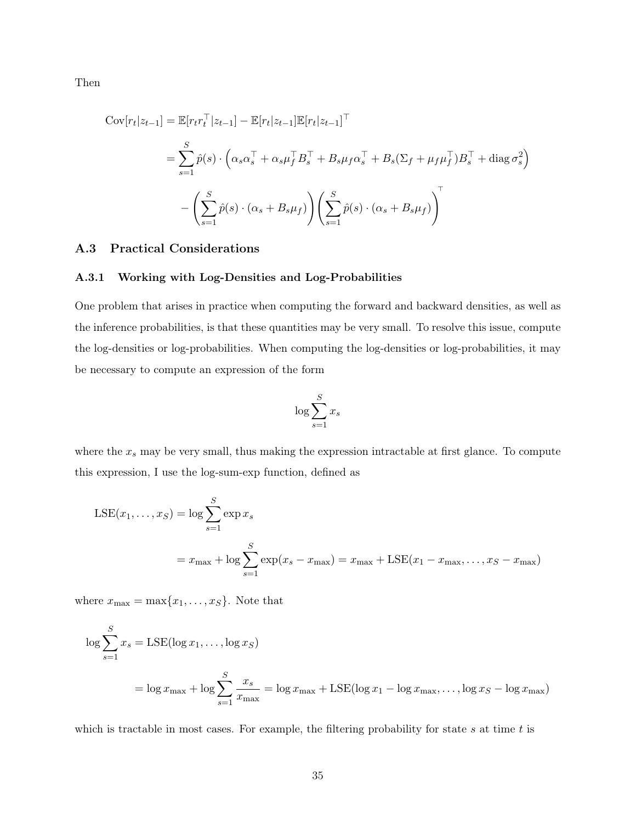Then

$$
\text{Cov}[r_t|z_{t-1}] = \mathbb{E}[r_t r_t^\top | z_{t-1}] - \mathbb{E}[r_t | z_{t-1}] \mathbb{E}[r_t | z_{t-1}]^\top
$$
  
\n
$$
= \sum_{s=1}^S \hat{p}(s) \cdot \left(\alpha_s \alpha_s^\top + \alpha_s \mu_f^\top B_s^\top + B_s \mu_f \alpha_s^\top + B_s (\Sigma_f + \mu_f \mu_f^\top) B_s^\top + \text{diag} \sigma_s^2\right)
$$
  
\n
$$
- \left(\sum_{s=1}^S \hat{p}(s) \cdot (\alpha_s + B_s \mu_f)\right) \left(\sum_{s=1}^S \hat{p}(s) \cdot (\alpha_s + B_s \mu_f)\right)^\top
$$

## A.3 Practical Considerations

#### A.3.1 Working with Log-Densities and Log-Probabilities

One problem that arises in practice when computing the forward and backward densities, as well as the inference probabilities, is that these quantities may be very small. To resolve this issue, compute the log-densities or log-probabilities. When computing the log-densities or log-probabilities, it may be necessary to compute an expression of the form

$$
\log \sum_{s=1}^{S} x_s
$$

where the  $x_s$  may be very small, thus making the expression intractable at first glance. To compute this expression, I use the log-sum-exp function, defined as

$$
LSE(x_1, \dots, x_S) = \log \sum_{s=1}^{S} \exp x_s
$$
  
=  $x_{\text{max}} + \log \sum_{s=1}^{S} \exp(x_s - x_{\text{max}}) = x_{\text{max}} + LSE(x_1 - x_{\text{max}}, \dots, x_S - x_{\text{max}})$ 

where  $x_{\text{max}} = \max\{x_1, \ldots, x_S\}$ . Note that

$$
\log \sum_{s=1}^{S} x_s = \text{LSE}(\log x_1, \dots, \log x_S)
$$
  
= 
$$
\log x_{\text{max}} + \log \sum_{s=1}^{S} \frac{x_s}{x_{\text{max}}} = \log x_{\text{max}} + \text{LSE}(\log x_1 - \log x_{\text{max}}, \dots, \log x_S - \log x_{\text{max}})
$$

which is tractable in most cases. For example, the filtering probability for state s at time  $t$  is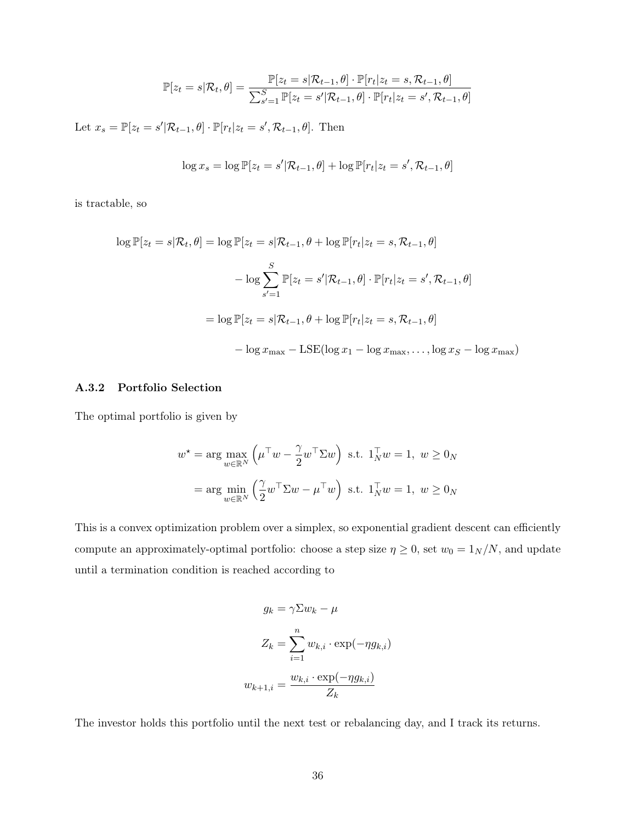$$
\mathbb{P}[z_t = s | \mathcal{R}_t, \theta] = \frac{\mathbb{P}[z_t = s | \mathcal{R}_{t-1}, \theta] \cdot \mathbb{P}[r_t | z_t = s, \mathcal{R}_{t-1}, \theta]}{\sum_{s'=1}^S \mathbb{P}[z_t = s' | \mathcal{R}_{t-1}, \theta] \cdot \mathbb{P}[r_t | z_t = s', \mathcal{R}_{t-1}, \theta]}
$$

Let  $x_s = \mathbb{P}[z_t = s' | \mathcal{R}_{t-1}, \theta] \cdot \mathbb{P}[r_t | z_t = s', \mathcal{R}_{t-1}, \theta]$ . Then

$$
\log x_s = \log \mathbb{P}[z_t = s' | \mathcal{R}_{t-1}, \theta] + \log \mathbb{P}[r_t | z_t = s', \mathcal{R}_{t-1}, \theta]
$$

is tractable, so

$$
\log \mathbb{P}[z_t = s | \mathcal{R}_t, \theta] = \log \mathbb{P}[z_t = s | \mathcal{R}_{t-1}, \theta + \log \mathbb{P}[r_t | z_t = s, \mathcal{R}_{t-1}, \theta]
$$

$$
- \log \sum_{s'=1}^{S} \mathbb{P}[z_t = s' | \mathcal{R}_{t-1}, \theta] \cdot \mathbb{P}[r_t | z_t = s', \mathcal{R}_{t-1}, \theta]
$$

$$
= \log \mathbb{P}[z_t = s | \mathcal{R}_{t-1}, \theta + \log \mathbb{P}[r_t | z_t = s, \mathcal{R}_{t-1}, \theta]
$$

$$
- \log x_{\max} - \text{LSE}(\log x_1 - \log x_{\max}, \dots, \log x_S - \log x_{\max})
$$

#### A.3.2 Portfolio Selection

The optimal portfolio is given by

$$
w^* = \arg\max_{w \in \mathbb{R}^N} \left( \mu^\top w - \frac{\gamma}{2} w^\top \Sigma w \right) \text{ s.t. } 1_N^\top w = 1, \ w \ge 0_N
$$

$$
= \arg\min_{w \in \mathbb{R}^N} \left( \frac{\gamma}{2} w^\top \Sigma w - \mu^\top w \right) \text{ s.t. } 1_N^\top w = 1, \ w \ge 0_N
$$

This is a convex optimization problem over a simplex, so exponential gradient descent can efficiently compute an approximately-optimal portfolio: choose a step size  $\eta \ge 0$ , set  $w_0 = 1_N/N$ , and update until a termination condition is reached according to

$$
g_k = \gamma \Sigma w_k - \mu
$$

$$
Z_k = \sum_{i=1}^n w_{k,i} \cdot \exp(-\eta g_{k,i})
$$

$$
w_{k+1,i} = \frac{w_{k,i} \cdot \exp(-\eta g_{k,i})}{Z_k}
$$

The investor holds this portfolio until the next test or rebalancing day, and I track its returns.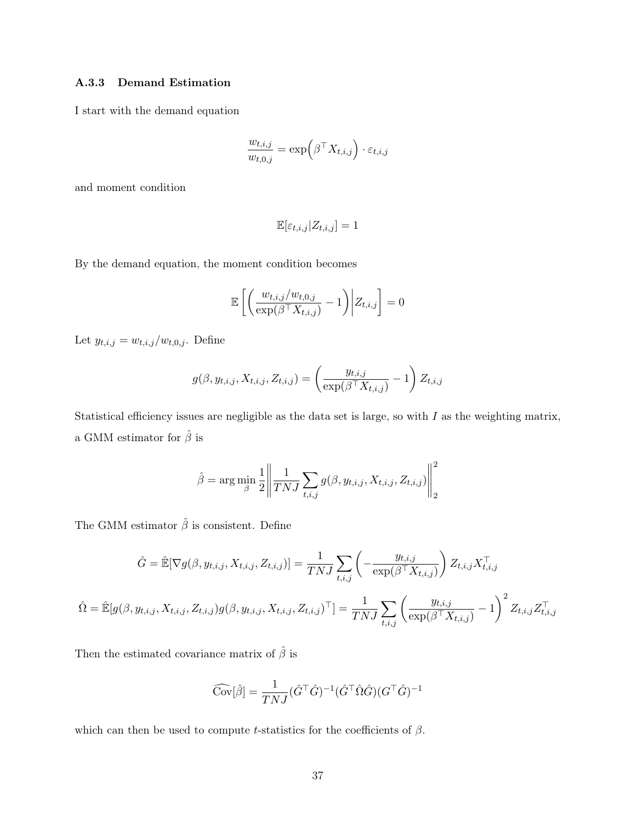#### A.3.3 Demand Estimation

I start with the demand equation

$$
\frac{w_{t,i,j}}{w_{t,0,j}} = \exp\left(\beta^\top X_{t,i,j}\right) \cdot \varepsilon_{t,i,j}
$$

and moment condition

$$
\mathbb{E}[\varepsilon_{t,i,j}|Z_{t,i,j}] = 1
$$

By the demand equation, the moment condition becomes

$$
\mathbb{E}\left[\left(\frac{w_{t,i,j}/w_{t,0,j}}{\exp(\beta^\top X_{t,i,j})}-1\right)\middle|Z_{t,i,j}\right]=0
$$

Let  $y_{t,i,j} = w_{t,i,j}/w_{t,0,j}$ . Define

$$
g(\beta, y_{t,i,j}, X_{t,i,j}, Z_{t,i,j}) = \left(\frac{y_{t,i,j}}{\exp(\beta^{\top} X_{t,i,j})} - 1\right) Z_{t,i,j}
$$

Statistical efficiency issues are negligible as the data set is large, so with  $I$  as the weighting matrix, a GMM estimator for  $\hat{\beta}$  is

$$
\hat{\beta} = \arg\min_{\beta} \frac{1}{2} \left\| \frac{1}{TNJ} \sum_{t,i,j} g(\beta, y_{t,i,j}, X_{t,i,j}, Z_{t,i,j}) \right\|_2^2
$$

The GMM estimator  $\hat{\beta}$  is consistent. Define

$$
\hat{G} = \hat{\mathbb{E}}[\nabla g(\beta, y_{t,i,j}, X_{t,i,j}, Z_{t,i,j})] = \frac{1}{TNJ} \sum_{t,i,j} \left( -\frac{y_{t,i,j}}{\exp(\beta^{\top} X_{t,i,j})} \right) Z_{t,i,j} X_{t,i,j}^{\top}
$$

$$
\hat{\Omega} = \hat{\mathbb{E}}[g(\beta, y_{t,i,j}, X_{t,i,j}, Z_{t,i,j})g(\beta, y_{t,i,j}, X_{t,i,j}, Z_{t,i,j})^{\top}] = \frac{1}{TNJ} \sum_{t,i,j} \left( \frac{y_{t,i,j}}{\exp(\beta^{\top} X_{t,i,j})} - 1 \right)^2 Z_{t,i,j} Z_{t,i,j}^{\top}
$$

Then the estimated covariance matrix of  $\hat{\beta}$  is

$$
\widehat{\text{Cov}}[\hat{\beta}] = \frac{1}{TNJ} (\hat{G}^\top \hat{G})^{-1} (\hat{G}^\top \hat{\Omega} \hat{G}) (G^\top \hat{G})^{-1}
$$

which can then be used to compute t-statistics for the coefficients of  $\beta$ .